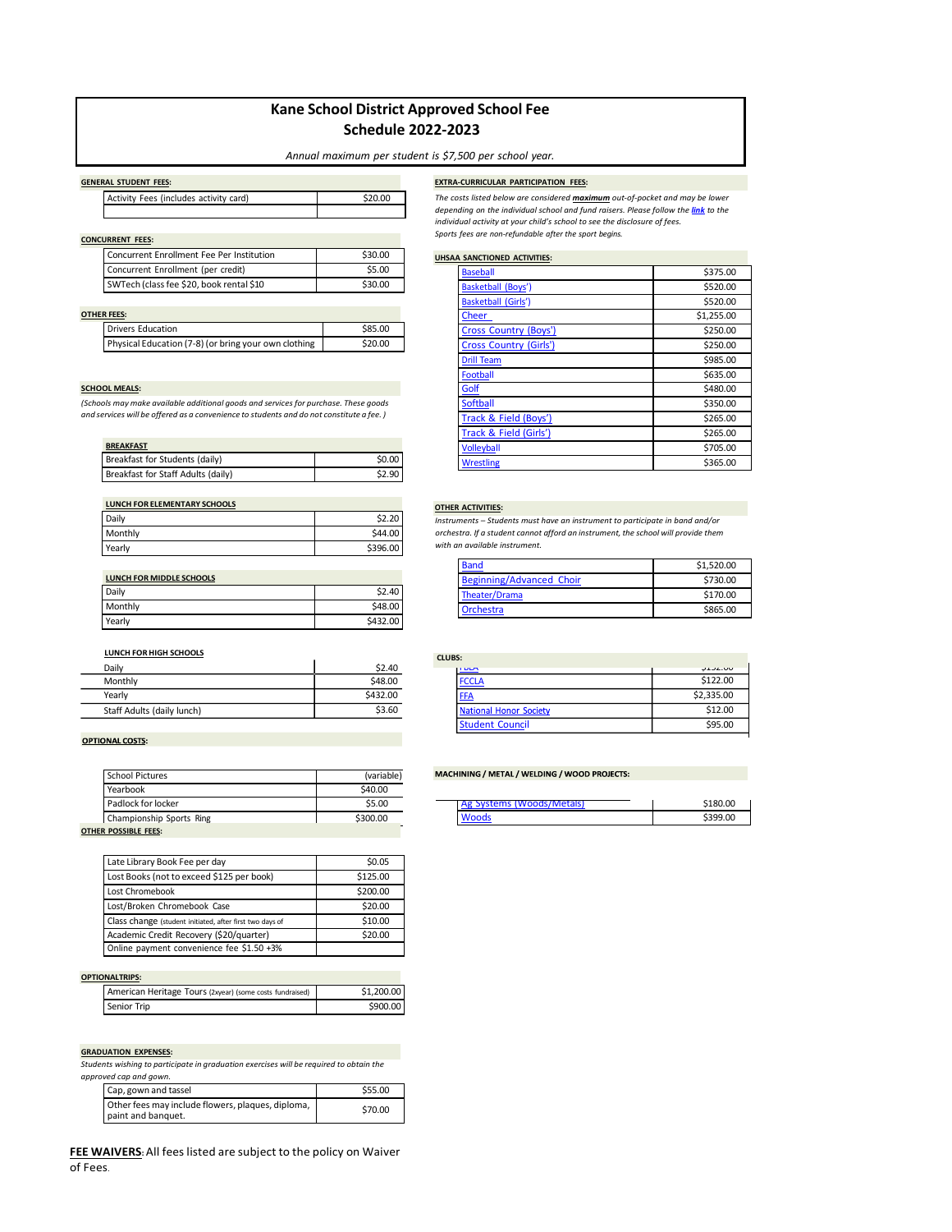### **Kane School District Approved School Fee Schedule 2022-2023**

### *Annual maximum per student is \$7,500 per school year.*

| Activity Fees (includes activity card) | \$20.00 |
|----------------------------------------|---------|
|                                        |         |

### **GENERAL STUDENT FEES: EXTRA-CURRICULAR PARTICIPATION FEES:**

**CONCURRENT FEES:**

| Concurrent Enrollment Fee Per Institution | \$30.00 |
|-------------------------------------------|---------|
| Concurrent Enrollment (per credit)        | \$5.00  |
| SWTech (class fee \$20, book rental \$10  | \$30.00 |

### **OTHER FEES:**

| <b>Drivers Education</b>                             | \$85.00 |
|------------------------------------------------------|---------|
| Physical Education (7-8) (or bring your own clothing | \$20.00 |

### **SCHOOL MEALS:**

*(Schools may make available additional goods and services for purchase. These goods and services will be offered as a convenience to students and do not constitute a fee. )*

| <b>BREAKFAST</b>                   |        |
|------------------------------------|--------|
| Breakfast for Students (daily)     | \$0.00 |
| Breakfast for Staff Adults (daily) | \$2.90 |

| <b>LUNCH FOR ELEMENTARY SCHOOLS</b> |          |
|-------------------------------------|----------|
| Daily                               | \$2.20   |
| Monthly                             | \$44.00  |
| Yearly                              | \$396.00 |

| LUNCH FOR MIDDLE SCHOOLS |          |
|--------------------------|----------|
| Daily                    | \$2.40   |
| Monthly                  | \$48.00  |
| Yearly                   | \$432.00 |

### **LUNCH FORHIGH SCHOOLS**

| Daily                      | \$2.40   |
|----------------------------|----------|
| Monthly                    | \$48.00  |
| Yearly                     | \$432.00 |
| Staff Adults (daily lunch) | \$3.60   |

### **OPTIONAL COSTS:**

| <b>School Pictures</b>   | (variable) |
|--------------------------|------------|
| Yearbook                 | \$40.00    |
| Padlock for locker       | \$5.00     |
| Championship Sports Ring | \$300.00   |
| IED DACCIDIE EEEC.       |            |

**OTHER POSSIBLE FEES:** 

| Late Library Book Fee per day                            | \$0.05   |
|----------------------------------------------------------|----------|
| Lost Books (not to exceed \$125 per book)                | \$125.00 |
| Lost Chromebook                                          | \$200.00 |
| Lost/Broken Chromebook Case                              | \$20.00  |
| Class change (student initiated, after first two days of | \$10.00  |
| Academic Credit Recovery (\$20/quarter)                  | \$20.00  |
| Online payment convenience fee \$1.50 +3%                |          |

### **OPTIONALTRIPS:**

| American Heritage Tours (2xyear) (some costs fundraised) | \$1,200.00 |
|----------------------------------------------------------|------------|
| Senior Trip                                              | \$900.00   |

### **GRADUATION EXPENSES:**

*Students wishing to participate in graduation exercises will be required to obtain the approved cap and gown.*

| Cap, gown and tassel                                                    | \$55.00 |
|-------------------------------------------------------------------------|---------|
| Other fees may include flowers, plaques, diploma,<br>paint and banquet. | \$70.00 |

**FEE WAIVERS:** All fees listed are subject to the policy on Waiver of Fees.

| The costs listed below are considered <b>maximum</b> out-of-pocket and may be lower              |  |
|--------------------------------------------------------------------------------------------------|--|
| dependina on the individual school and fund raisers. Please follow the l <mark>ink</mark> to the |  |
| individual activity at your child's school to see the disclosure of fees.                        |  |
| Sports fees are non-refundable after the sport begins.                                           |  |

### **UHSAA SANCTIONED ACTIVITIES:**

| <b>Baseball</b>               | \$375.00   |
|-------------------------------|------------|
| <b>Basketball (Boys')</b>     | \$520.00   |
| <b>Basketball (Girls')</b>    | \$520.00   |
| Cheer                         | \$1,255.00 |
| <b>Cross Country (Boys')</b>  | \$250.00   |
| <b>Cross Country (Girls')</b> | \$250.00   |
| <b>Drill Team</b>             | \$985.00   |
| <b>Football</b>               | \$635.00   |
| Golf                          | \$480.00   |
| <b>Softball</b>               | \$350.00   |
| Track & Field (Boys')         | \$265.00   |
| Track & Field (Girls')        | \$265.00   |
| <b>Volleyball</b>             | \$705.00   |
| <b>Wrestling</b>              | \$365.00   |

### **OTHER ACTIVITIES:**

*Instruments – Students must have an instrument to participate in band and/or orchestra. If a student cannot afford an instrument, the school will provide them with an available instrument.*

| <b>Band</b>              | \$1,520.00 |
|--------------------------|------------|
| Beginning/Advanced Choir | \$730.00   |
| Theater/Drama            | \$170.00   |
| <b>Orchestra</b>         | \$865.00   |

| <b>CLUBS:</b>          |                |
|------------------------|----------------|
| <b>IT DLA</b>          | <b>JIJL.UU</b> |
| <b>FCCLA</b>           | \$122.00       |
| <b>FFA</b>             | \$2,335.00     |
| National Honor Society | \$12.00        |
| <b>Student Council</b> | \$95.00        |

### MACHINING / METAL / WELDING / WOOD PROJECTS:

| Systems (Woods/Metals) |         |
|------------------------|---------|
|                        | 5399.00 |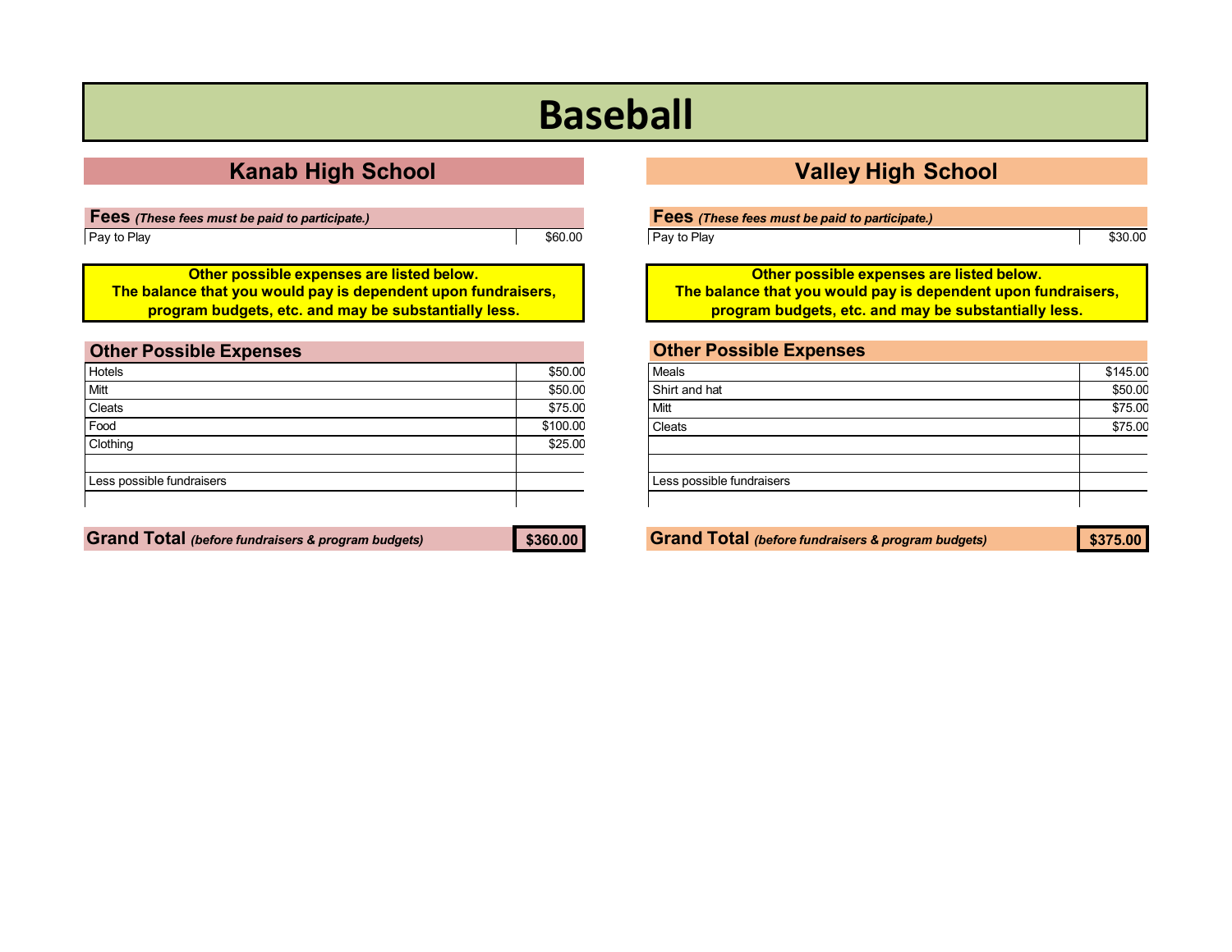# **Baseball**

## **Kanab High School Valley High School**

| Fees (These fees must be paid to participate.) |         |
|------------------------------------------------|---------|
| Pay to Play                                    | \$60.00 |

**Other possible expenses are listed below. The balance that you would pay is dependent upon fundraisers, program budgets, etc. and may be substantially less.**

<span id="page-1-0"></span>

| <b>Other Possible Expenses</b> |          |
|--------------------------------|----------|
| Hotels                         | \$50.00  |
| Mitt                           | \$50.00  |
| Cleats                         | \$75.00  |
| Food                           | \$100.00 |
| Clothing                       | \$25.00  |
| Less possible fundraisers      |          |

|--|--|

Pay to Play \$30.00

**Other possible expenses are listed below. The balance that you would pay is dependent upon fundraisers, program budgets, etc. and may be substantially less.**

### **Other Possible Expenses**

| Meals                     | \$145.00 |
|---------------------------|----------|
| Shirt and hat             | \$50.00  |
| Mitt                      | \$75.00  |
| Cleats                    | \$75.00  |
|                           |          |
|                           |          |
| Less possible fundraisers |          |
|                           |          |

**Grand Total** *(before fundraisers & program budgets)* **\$360.00 Grand Total** *(before fundraisers & program budgets)* **\$375.00**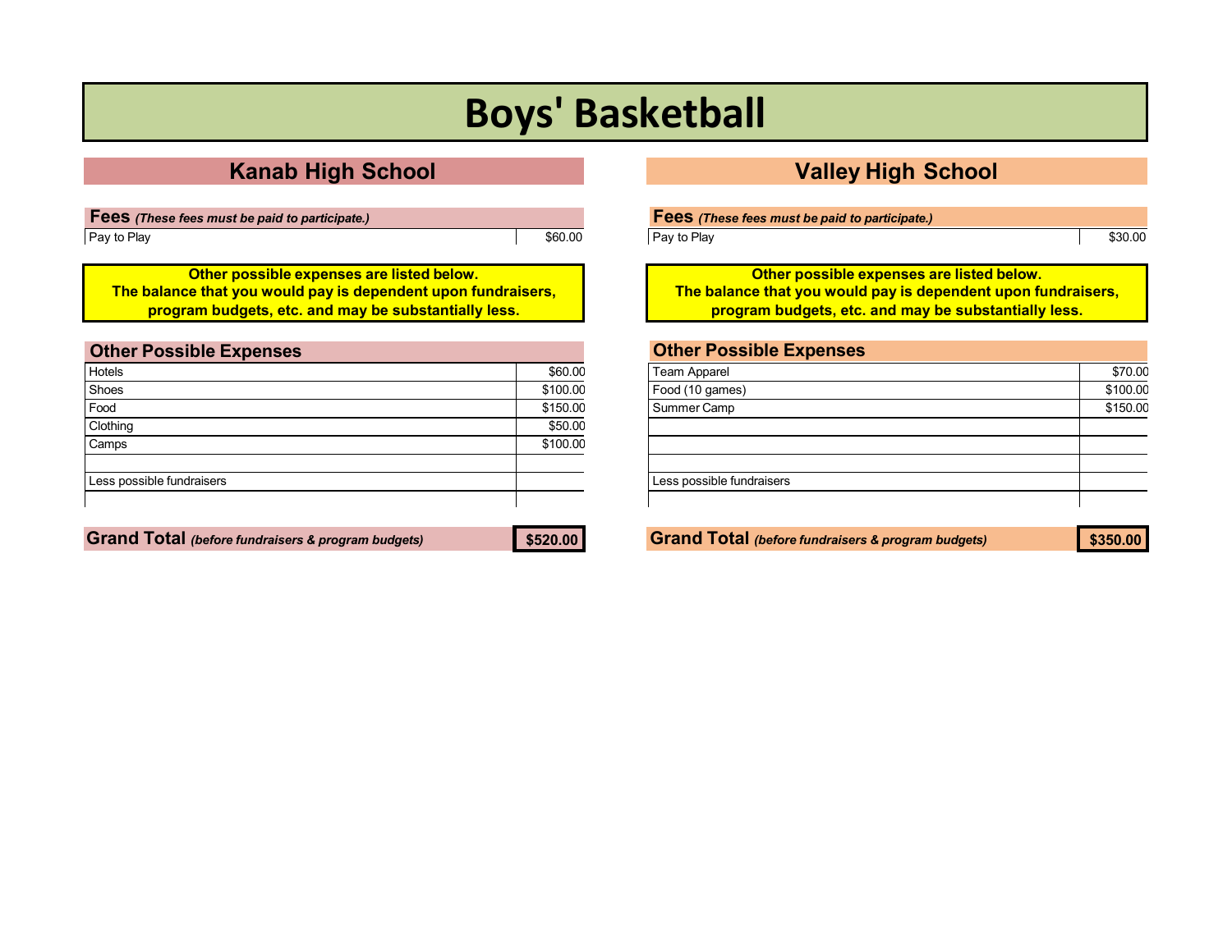# **Boys' Basketball**

| <b>Fees</b> (These fees must be paid to participate.) |         |
|-------------------------------------------------------|---------|
| Pay to Play                                           | \$60.00 |

**Other possible expenses are listed below. The balance that you would pay is dependent upon fundraisers, program budgets, etc. and may be substantially less.**

<span id="page-2-0"></span>

| <b>Other Possible Expenses</b> |          |
|--------------------------------|----------|
| Hotels                         | \$60.00  |
| Shoes                          | \$100.00 |
| Food                           | \$150.00 |
| Clothing                       | \$50.00  |
| Camps                          | \$100.00 |
| Less possible fundraisers      |          |

**Grand Total** *(before fundraisers & program budgets)* **\$520.00 Grand Total** *(before fundraisers & program budgets)* **\$350.00**

## **Kanab High School Valley High School**

| Fees (These fees must be paid to participate.) |  |
|------------------------------------------------|--|
|------------------------------------------------|--|

Pay to Play **\$30.00** 

**Other possible expenses are listed below. The balance that you would pay is dependent upon fundraisers, program budgets, etc. and may be substantially less.**

| \$70.00  |
|----------|
| \$100.00 |
| \$150.00 |
|          |
|          |
|          |
|          |
|          |
|          |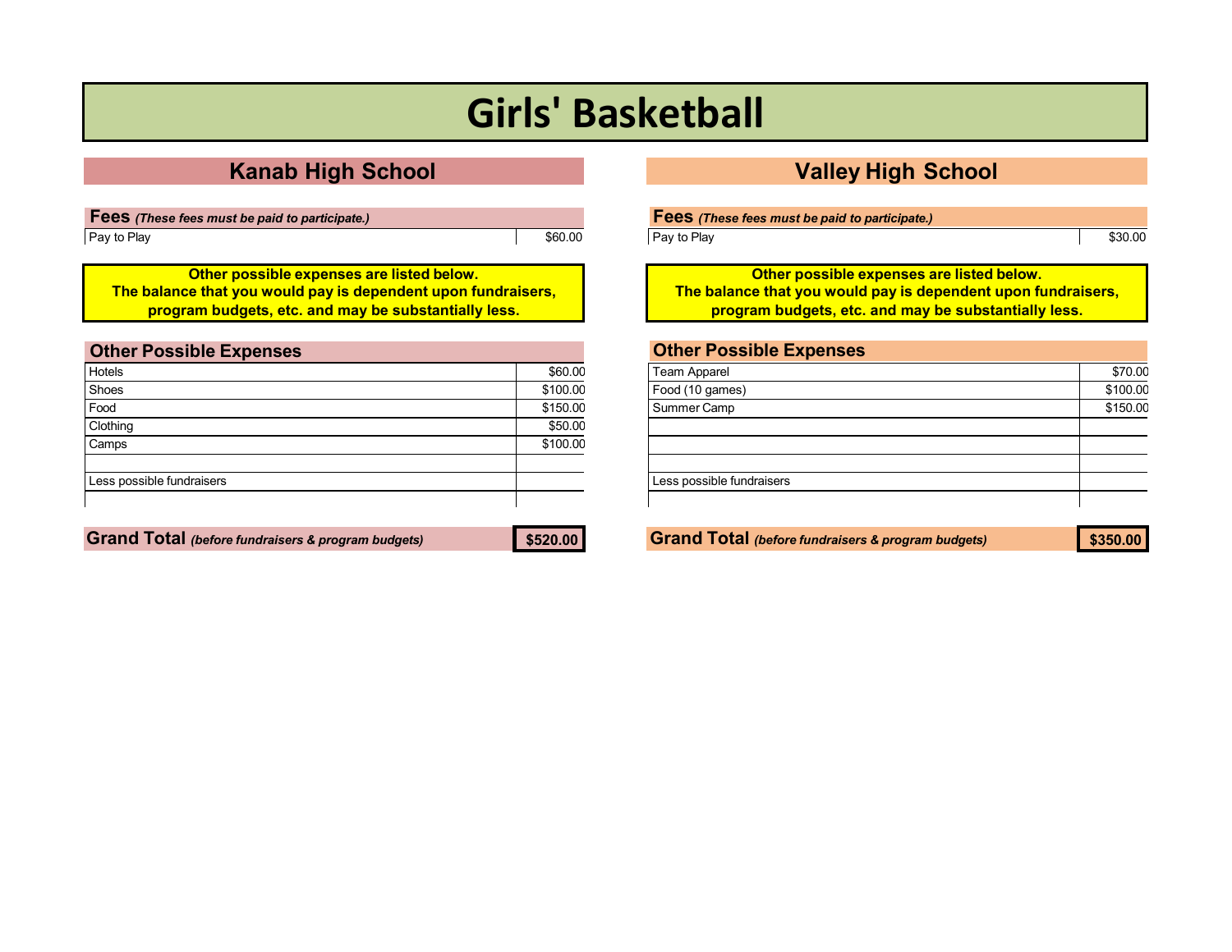# **Girls' Basketball**

**Fees** *(These fees must be paid to participate.)* Pay to Play \$60.00

**Other possible expenses are listed below. The balance that you would pay is dependent upon fundraisers, program budgets, etc. and may be substantially less.**

<span id="page-3-0"></span>

| <b>Other Possible Expenses</b> |          |
|--------------------------------|----------|
| Hotels                         | \$60.00  |
| Shoes                          | \$100.00 |
| Food                           | \$150.00 |
| Clothing                       | \$50.00  |
| Camps                          | \$100.00 |
| Less possible fundraisers      |          |

**Grand Total** *(before fundraisers & program budgets)* **\$520.00 Grand Total** *(before fundraisers & program budgets)* **\$350.00**

## **Kanab High School Valley High School**

Pay to Play **\$30.00** 

**Other possible expenses are listed below. The balance that you would pay is dependent upon fundraisers, program budgets, etc. and may be substantially less.**

| \$70.00  |
|----------|
| \$100.00 |
| \$150.00 |
|          |
|          |
|          |
|          |
|          |
|          |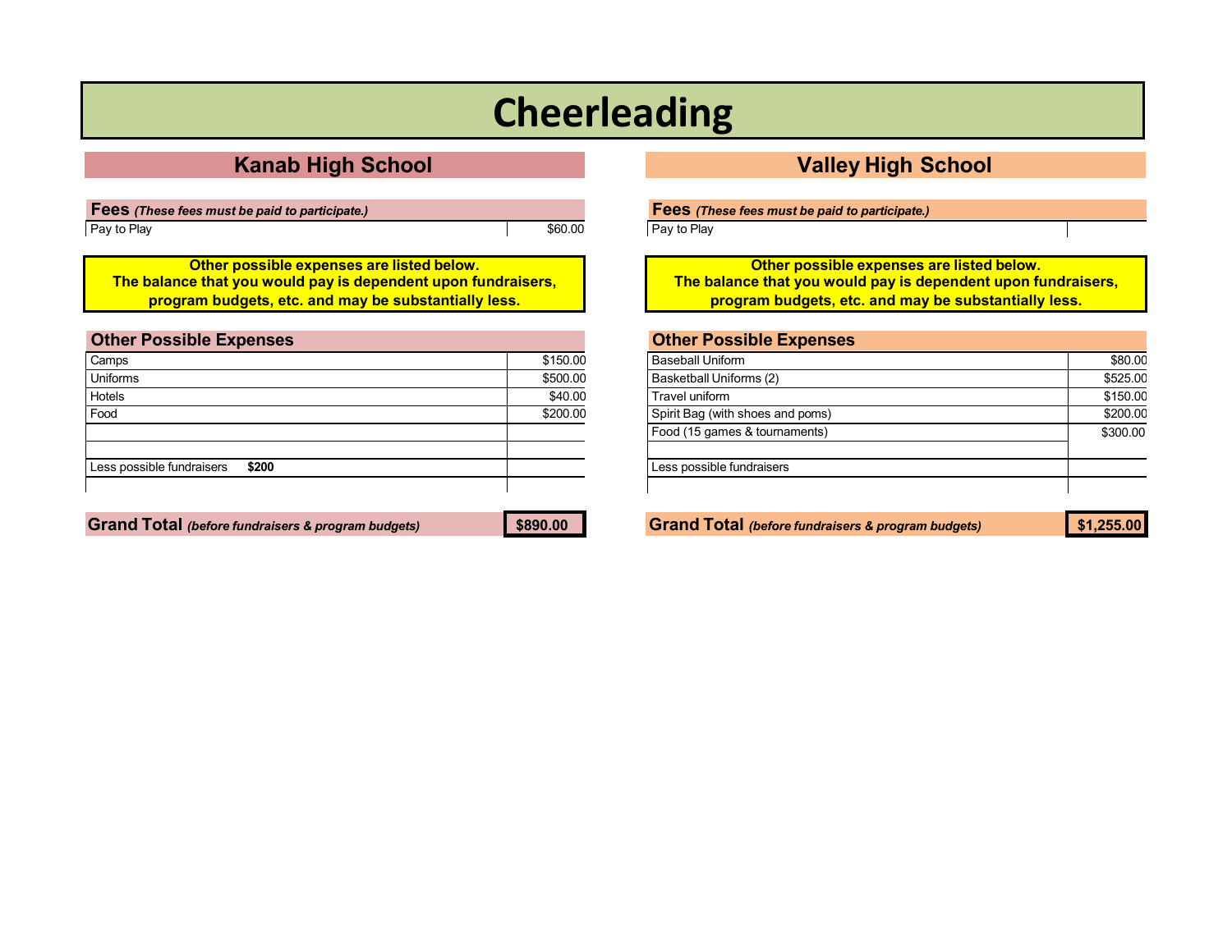# **Cheerleading**

## **Kanab High School Valley High School**

**Fees** *(These fees must be paid to participate.)* Pay to Play **\$60.00** 

**Other possible expenses are listed below. The balance that you would pay is dependent upon fundraisers, program budgets, etc. and may be substantially less.**

<span id="page-4-0"></span>

| <b>Other Possible Expenses</b>     |          |
|------------------------------------|----------|
| Camps                              | \$150.00 |
| Uniforms                           | \$500.00 |
| Hotels                             | \$40.00  |
| Food                               | \$200.00 |
|                                    |          |
|                                    |          |
| Less possible fundraisers<br>\$200 |          |
|                                    |          |

**Fees** *(These fees must be paid to participate.)*

Pay to Play

**Other possible expenses are listed below. The balance that you would pay is dependent upon fundraisers, program budgets, etc. and may be substantially less.**

## **Other Possible Expenses** Baseball Uniform \$80.00 Basketball Uniforms (2) \$525.00 Travel uniform \$150.00 Spirit Bag (with shoes and poms) \$200.00 Food (15 games & tournaments) \$300.00 Less possible fundraisers

Grand Total (before fundraisers & program budgets) \$890.00 Grand Total (before fundraisers & program budgets) \$1,255.00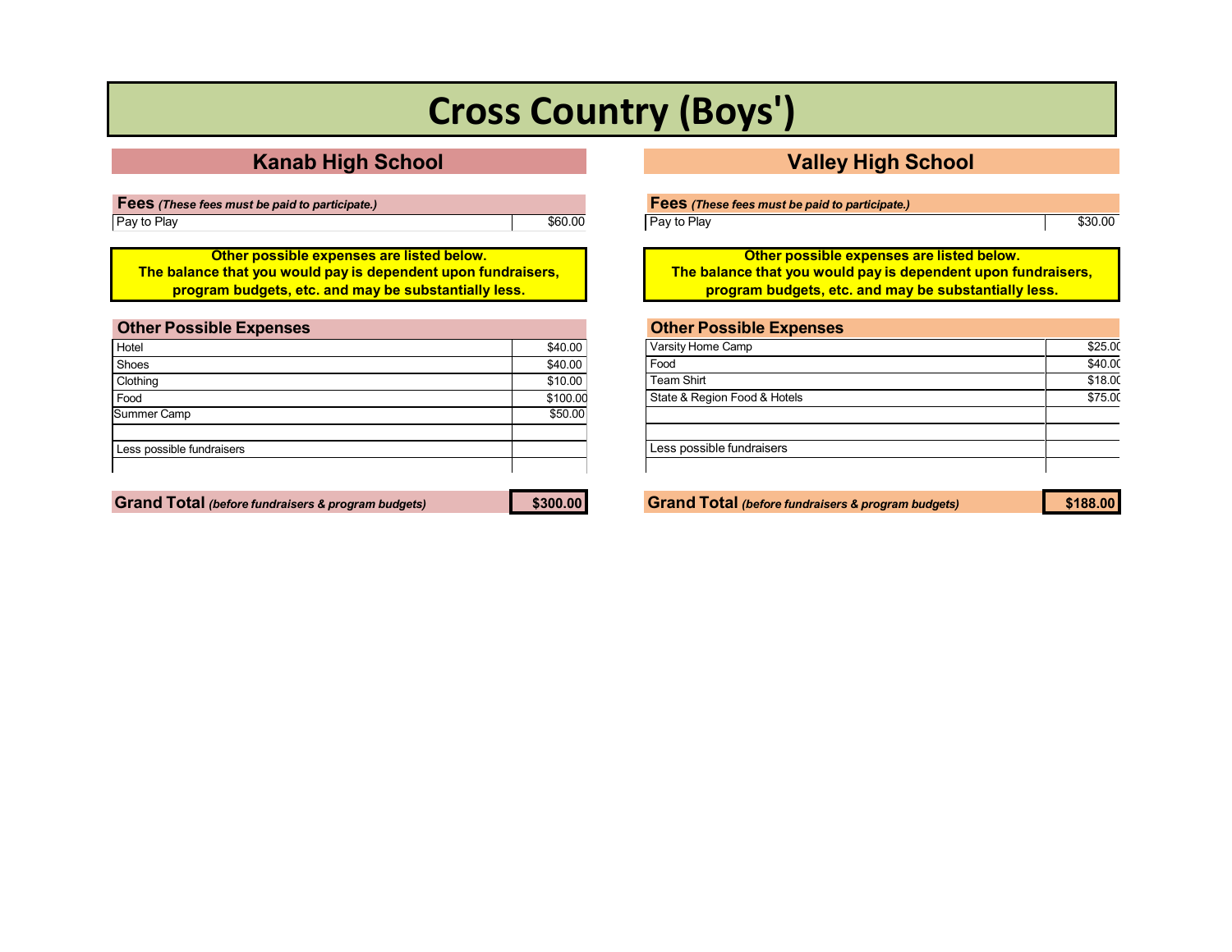# **Cross Country (Boys')**

**Fees** *(These fees must be paid to participate.)* Pay to Play **\$60.00** 

**Other possible expenses are listed below. The balance that you would pay is dependent upon fundraisers, program budgets, etc. and may be substantially less.**

<span id="page-5-0"></span>

| <b>Other Possible Expenses</b> |          |
|--------------------------------|----------|
| Hotel                          | \$40.00  |
| Shoes                          | \$40.00  |
| Clothing                       | \$10.00  |
| Food                           | \$100.00 |
| <b>Summer Camp</b>             | \$50.00  |
| Less possible fundraisers      |          |
|                                |          |

|  | <b>Grand Total (before fundraisers &amp; program budgets)</b> |
|--|---------------------------------------------------------------|
|--|---------------------------------------------------------------|

| \$300.00 |
|----------|
|----------|

### **Kanab High School Valley High School**

**Fees** *(These fees must be paid to participate.)*

Pay to Play **Example 2018** S30.00

**Other possible expenses are listed below. The balance that you would pay is dependent upon fundraisers, program budgets, etc. and may be substantially less.**

| <b>Other Possible Expenses</b> |         |
|--------------------------------|---------|
| Varsity Home Camp              | \$25.00 |
| Food                           | \$40.00 |
| Team Shirt                     | \$18.00 |
| State & Region Food & Hotels   | \$75.00 |
|                                |         |
|                                |         |
| Less possible fundraisers      |         |
|                                |         |
|                                |         |

**Grand Total** *(before fundraisers & program budgets)* **\$300.00 Grand Total** *(before fundraisers & program budgets)* **\$188.00**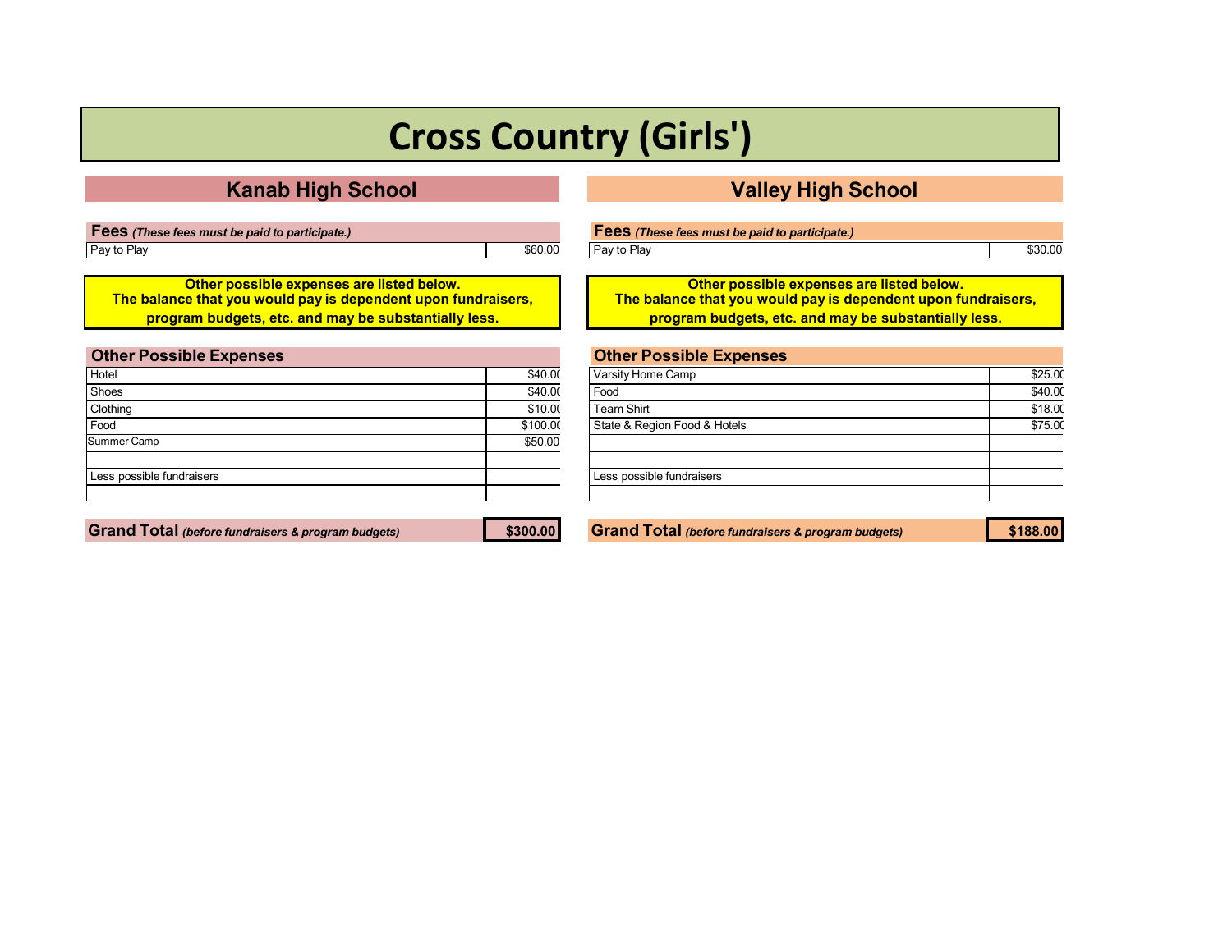# **Cross Country (Girls')**

## **Kanab High School Valley High School**

| <b>Fees</b> (These fees must be paid to participate.) |         |
|-------------------------------------------------------|---------|
| Pay to Play                                           | \$60.00 |

**Other possible expenses are listed below. The balance that you would pay is dependent upon fundraisers, program budgets, etc. and may be substantially less.**

<span id="page-6-0"></span>

| <b>Other Possible Expenses</b> |          |
|--------------------------------|----------|
| Hotel                          | \$40.00  |
| Shoes                          | \$40.00  |
| Clothing                       | \$10.00  |
| Food                           | \$100.00 |
| Summer Camp                    | \$50.00  |
| Less possible fundraisers      |          |

**Grand Total** *(before fundraisers & program budgets)* **\$300.00 Grand Total** *(before fundraisers & program budgets)* **\$188.00**

| <b>Fees</b> (These fees must be paid to participate.) |         |
|-------------------------------------------------------|---------|
| Pay to Play                                           | \$30.00 |

**Other possible expenses are listed below. The balance that you would pay is dependent upon fundraisers, program budgets, etc. and may be substantially less.**

| <b>Other Possible Expenses</b> |         |
|--------------------------------|---------|
| Varsity Home Camp              | \$25.00 |
| Food                           | \$40.00 |
| <b>Team Shirt</b>              | \$18.00 |
| State & Region Food & Hotels   | \$75.00 |
|                                |         |
|                                |         |
| Less possible fundraisers      |         |
|                                |         |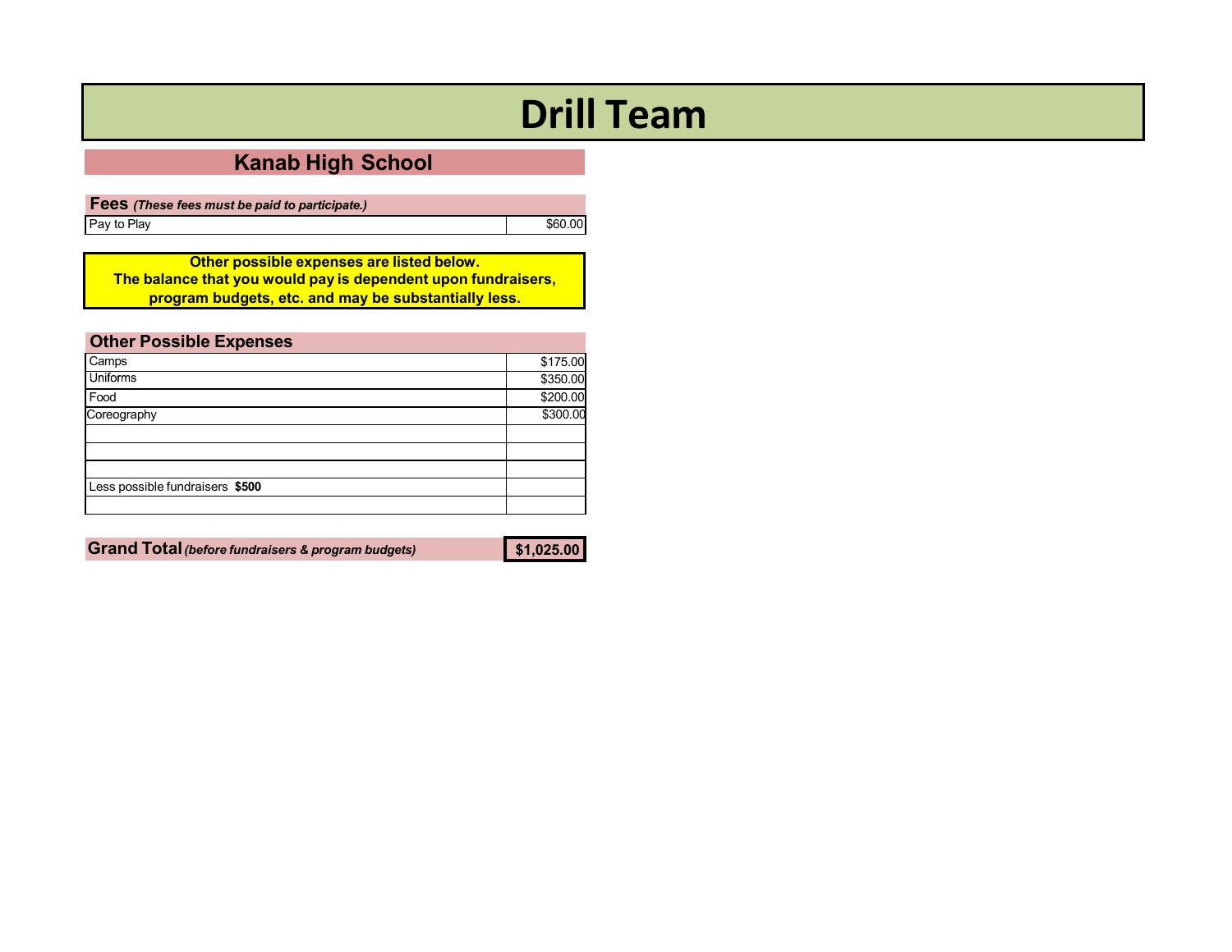# **Drill Team**

## **Kanab High School**

**Fees** *(These fees must be paid to participate.)* Pay to Play **Example 2018** Second League 2018 12:00 Second 2019 12:00 Second 2019 12:00 Second 2019 12:00 Second 2019 12:00 Second 2019 12:00 Second 2019 12:00 Second 2019 12:00 Second 2019 12:00 Second 2019 12:00 Second 2

**Other possible expenses are listed below. The balance that you would pay is dependent upon fundraisers, program budgets, etc. and may be substantially less.**

<span id="page-7-0"></span>

| <b>Other Possible Expenses</b>  |          |
|---------------------------------|----------|
| Camps                           | \$175.00 |
| <b>Uniforms</b>                 | \$350.00 |
| Food                            | \$200.00 |
| Coreography                     | \$300.00 |
|                                 |          |
|                                 |          |
|                                 |          |
| Less possible fundraisers \$500 |          |
|                                 |          |

**Grand Total***(before fundraisers & program budgets)* **\$1,025.00**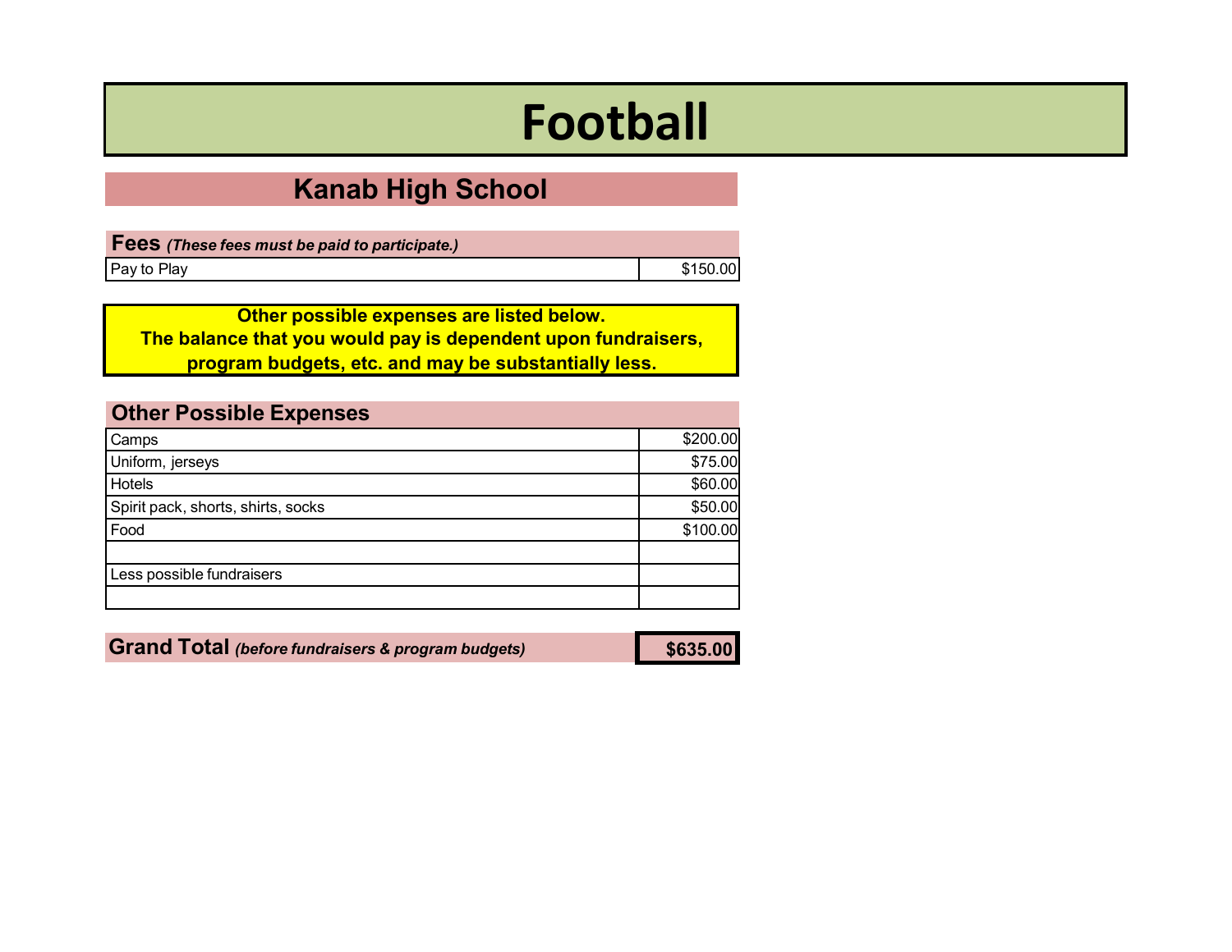# **Football**

## **Kanab High School**

| <b>Fees</b> (These fees must be paid to participate.) |          |
|-------------------------------------------------------|----------|
| Pay to Play                                           | \$150.00 |

**Other possible expenses are listed below. The balance that you would pay is dependent upon fundraisers, program budgets, etc. and may be substantially less.**

<span id="page-8-0"></span>

| <b>Other Possible Expenses</b>     |          |
|------------------------------------|----------|
| Camps                              | \$200.00 |
| Uniform, jerseys                   | \$75.00  |
| <b>Hotels</b>                      | \$60.00  |
| Spirit pack, shorts, shirts, socks | \$50.00  |
| Food                               | \$100.00 |
|                                    |          |
| Less possible fundraisers          |          |
|                                    |          |

**Grand Total** *(before fundraisers & program budgets)* **\$635.00**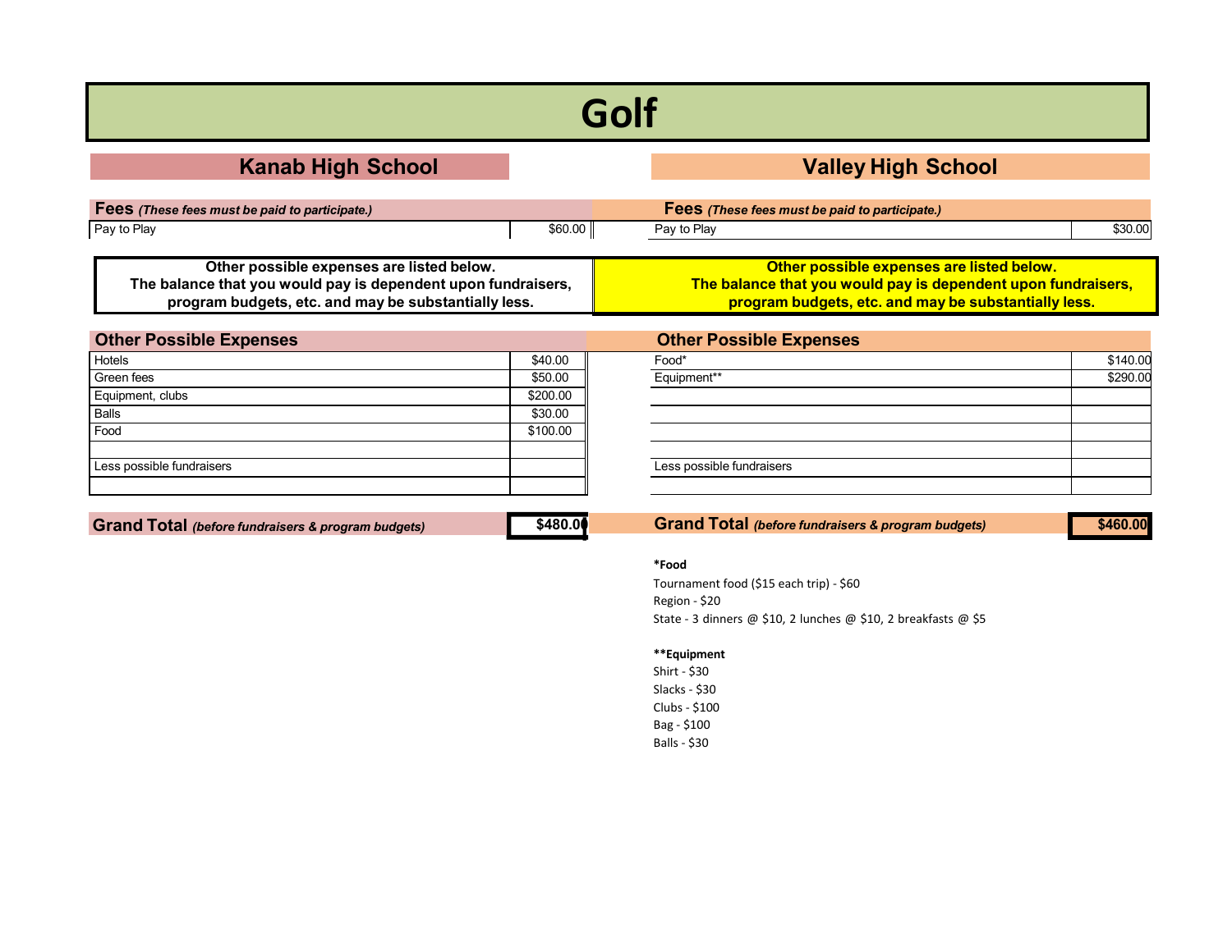# **Golf**

| <b>Kanab High School</b>                                                                                                                                           |         |                                                                                                                                                                    | <b>Valley High School</b> |
|--------------------------------------------------------------------------------------------------------------------------------------------------------------------|---------|--------------------------------------------------------------------------------------------------------------------------------------------------------------------|---------------------------|
| Fees (These fees must be paid to participate.)                                                                                                                     |         | Fees (These fees must be paid to participate.)                                                                                                                     |                           |
| Pay to Play                                                                                                                                                        | \$60.00 | Pay to Play                                                                                                                                                        | \$30.00                   |
| Other possible expenses are listed below.<br>The balance that you would pay is dependent upon fundraisers,<br>program budgets, etc. and may be substantially less. |         | Other possible expenses are listed below.<br>The balance that you would pay is dependent upon fundraisers,<br>program budgets, etc. and may be substantially less. |                           |
| Othor Poesible Exponence                                                                                                                                           |         | Othor Poesible Exponence                                                                                                                                           |                           |

<span id="page-9-0"></span>

| <b>Other Possible Expenses</b> |          | <b>Other Possible Expenses</b> |          |
|--------------------------------|----------|--------------------------------|----------|
| Hotels                         | \$40.00  | Food*                          | \$140.00 |
| Green fees                     | \$50.00  | Equipment**                    | \$290.00 |
| Equipment, clubs               | \$200.00 |                                |          |
| Balls                          | \$30.00  |                                |          |
| Food                           | \$100.00 |                                |          |
|                                |          |                                |          |
| Less possible fundraisers      |          | Less possible fundraisers      |          |
|                                |          |                                |          |

**Grand Total** *(before fundraisers & program budgets)* **\$460.00**

**\$480.00 Grand Total** *(before fundraisers & program budgets)*

### **\*Food**

Tournament food (\$15 each trip) - \$60 Region - \$20 State - 3 dinners @ \$10, 2 lunches @ \$10, 2 breakfasts @ \$5

### **\*\*Equipment**

Shirt - \$30 Slacks - \$30 Clubs - \$100 Bag - \$100 Balls - \$30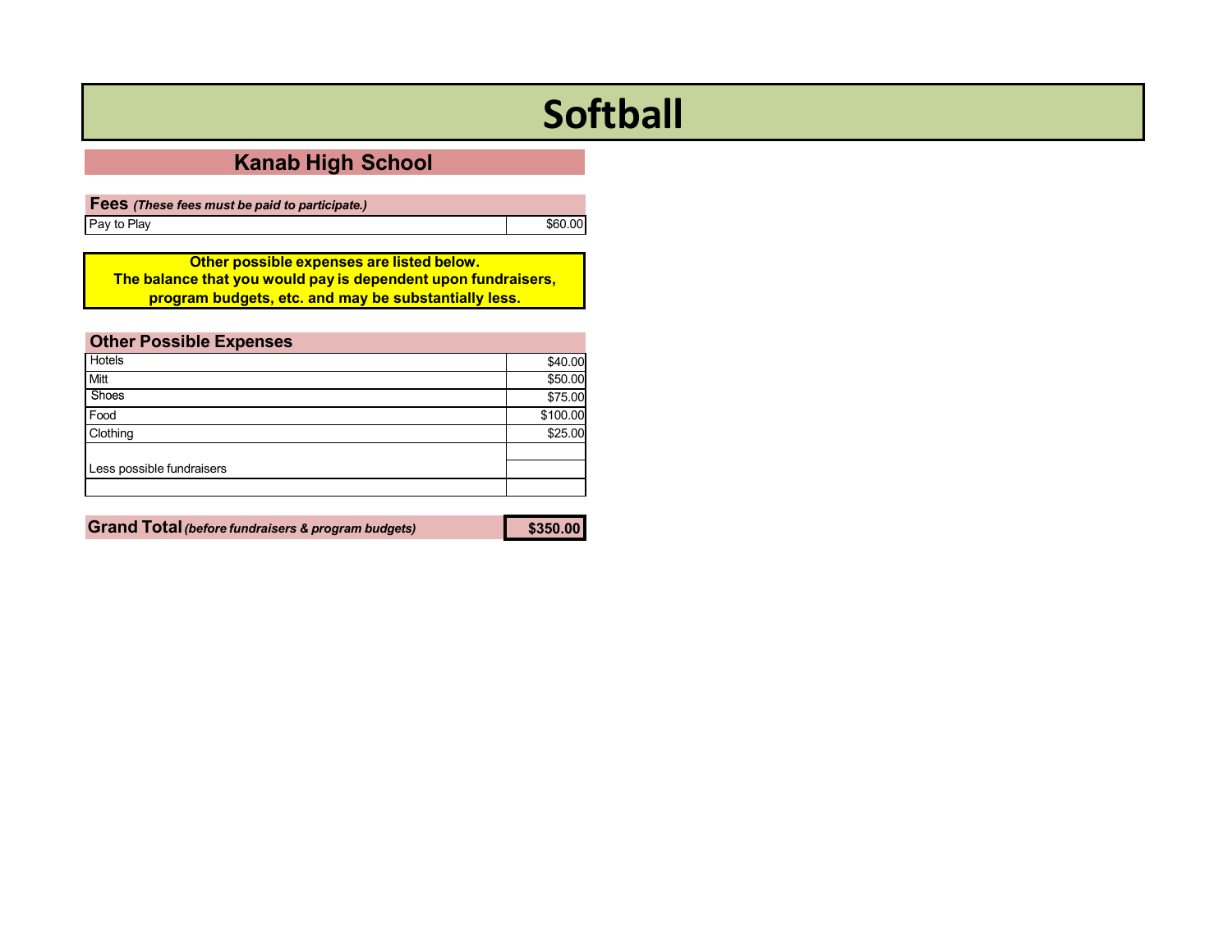# **Softball**

## **Kanab High School**

**Fees** *(These fees must be paid to participate.)* Pay to Play **Example 2018** Second League 2018 12:00 Second 2019 12:00 Second 2019 12:00 Second 2019 12:00 Second 2019 12:00 Second 2019 12:00 Second 2019 12:00 Second 2019 12:00 Second 2019 12:00 Second 2019 12:00 Second 2

**Other possible expenses are listed below. The balance that you would pay is dependent upon fundraisers, program budgets, etc. and may be substantially less.**

<span id="page-10-0"></span>

| <b>Other Possible Expenses</b> |          |
|--------------------------------|----------|
| <b>Hotels</b>                  | \$40.00  |
| <b>Mitt</b>                    | \$50.00  |
| Shoes                          | \$75.00  |
| Food                           | \$100.00 |
| Clothing                       | \$25.00  |
|                                |          |
| Less possible fundraisers      |          |
|                                |          |

**Grand Total***(before fundraisers & program budgets)* **\$350.00**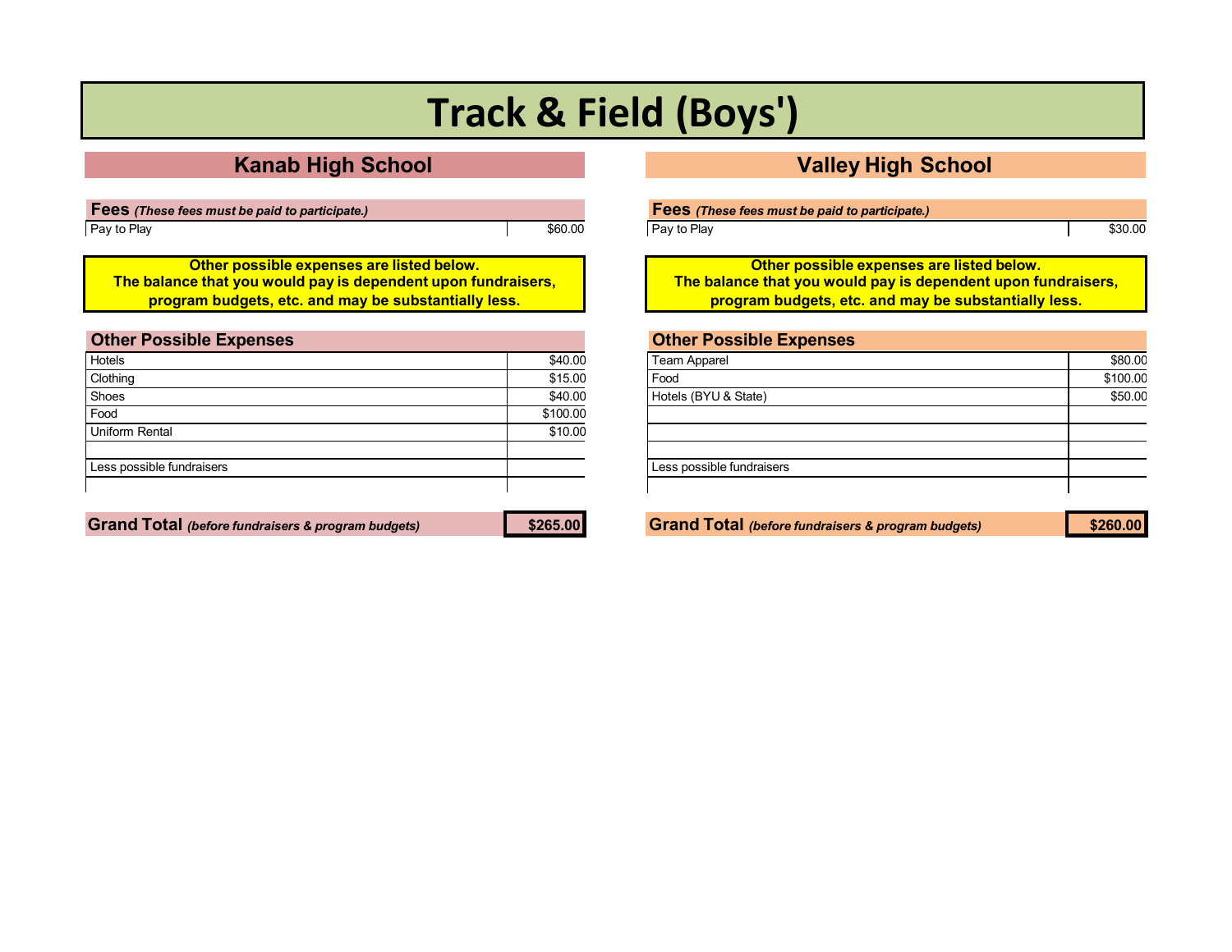# **Track & Field (Boys')**

## **Kanab High School Valley High School**

**Fees** *(These fees must be paid to participate.)* Pay to Play **\$60.00** 

**Other possible expenses are listed below. The balance that you would pay is dependent upon fundraisers, program budgets, etc. and may be substantially less.**

<span id="page-11-0"></span>

| <b>Other Possible Expenses</b> |          |
|--------------------------------|----------|
| Hotels                         | \$40.00  |
| Clothing                       | \$15.00  |
| Shoes                          | \$40.00  |
| Food                           | \$100.00 |
| <b>Uniform Rental</b>          | \$10.00  |
| Less possible fundraisers      |          |

Grand Total (before fundraisers & program budgets) \$265.00 Service Constructed Construction of the Service of the Service of Service Service of Service Service of Service Service Service Service Service Service Service Ser

Pay to Play **\$30.00** 

**Other possible expenses are listed below. The balance that you would pay is dependent upon fundraisers, program budgets, etc. and may be substantially less.**

| Team Apparel              | \$80.00  |
|---------------------------|----------|
| Food                      | \$100.00 |
| Hotels (BYU & State)      | \$50.00  |
|                           |          |
|                           |          |
|                           |          |
| Less possible fundraisers |          |
|                           |          |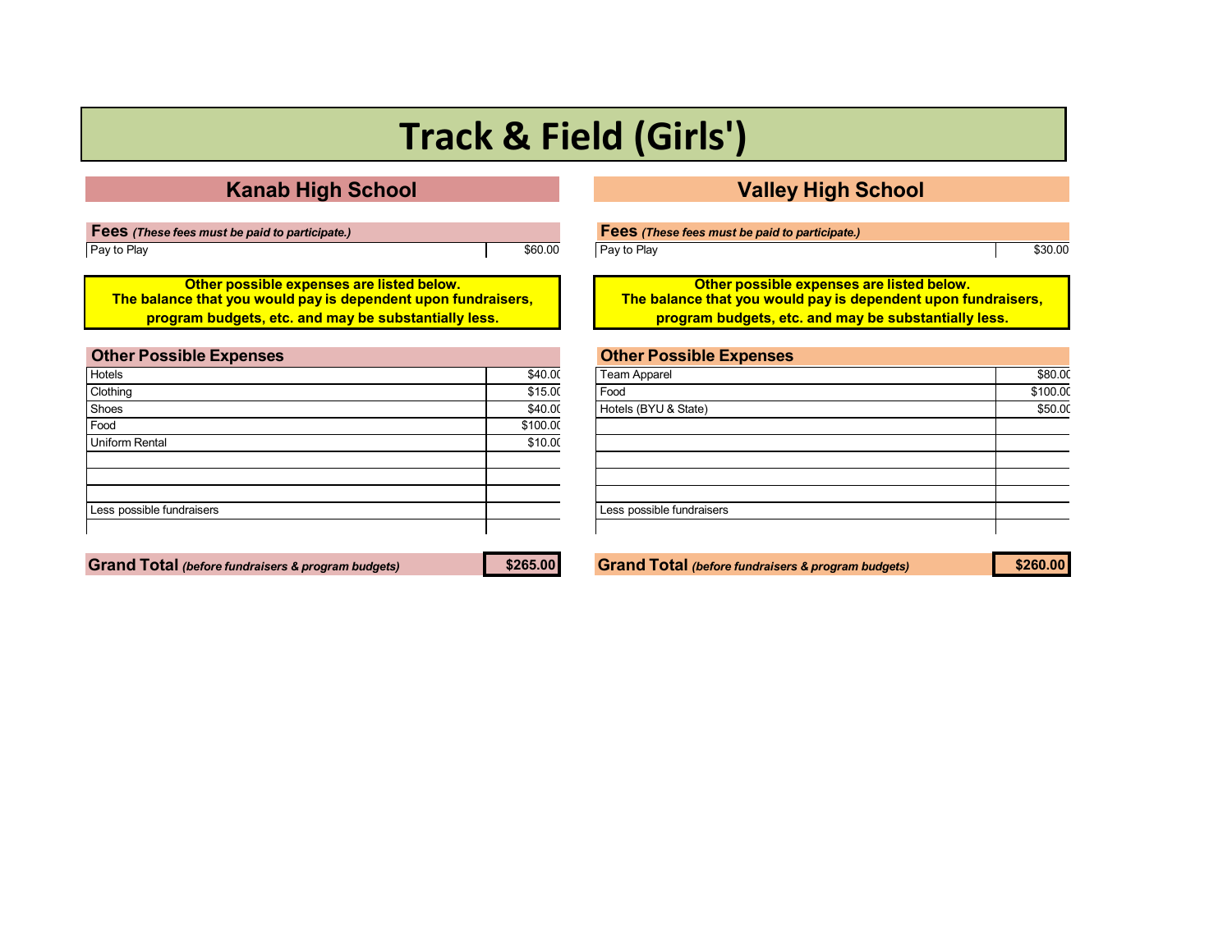# **Track & Field (Girls')**

## **Kanab High School Valley High School**

| <b>Fees</b> (These fees must be paid to participate.) |         |
|-------------------------------------------------------|---------|
| Pay to Play                                           | \$60.00 |

**Other possible expenses are listed below. The balance that you would pay is dependent upon fundraisers, program budgets, etc. and may be substantially less.**

<span id="page-12-0"></span>

| <b>Other Possible Expenses</b> |          |
|--------------------------------|----------|
| Hotels                         | \$40.00  |
| Clothing                       | \$15.00  |
| Shoes                          | \$40.00  |
| Food                           | \$100.00 |
| <b>Uniform Rental</b>          | \$10.00  |
|                                |          |
|                                |          |
|                                |          |
| Less possible fundraisers      |          |
|                                |          |

| Fees (These fees must be paid to participate.) |         |
|------------------------------------------------|---------|
| Pay to Play                                    | \$30.00 |

**Other possible expenses are listed below. The balance that you would pay is dependent upon fundraisers, program budgets, etc. and may be substantially less.**

## **Other Possible Expenses**

| Team Apparel              | \$80.00  |
|---------------------------|----------|
| Food                      | \$100.00 |
| Hotels (BYU & State)      | \$50.00  |
|                           |          |
|                           |          |
|                           |          |
|                           |          |
|                           |          |
| Less possible fundraisers |          |
|                           |          |

**Grand Total** *(before fundraisers & program budgets)* **\$265.00 Grand Total** *(before fundraisers & program budgets)* **\$260.00**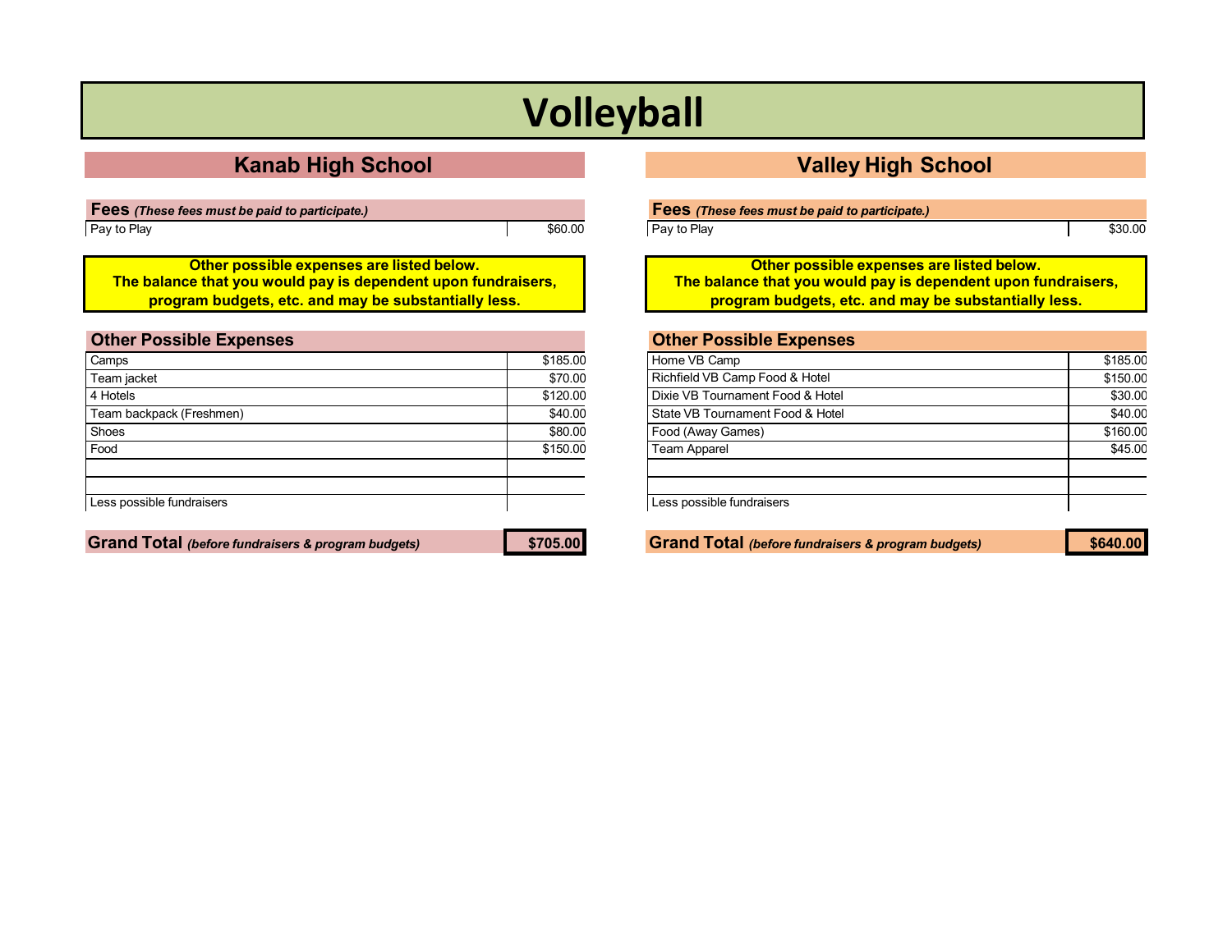# **Volleyball**

## **Kanab High School Valley High School**

**Fees** *(These fees must be paid to participate.)* Pay to Play **\$60.00** 

**Other possible expenses are listed below. The balance that you would pay is dependent upon fundraisers, program budgets, etc. and may be substantially less.**

<span id="page-13-0"></span>

| <b>Other Possible Expenses</b> |          |
|--------------------------------|----------|
| Camps                          | \$185.00 |
| Team jacket                    | \$70.00  |
| 4 Hotels                       | \$120.00 |
| Team backpack (Freshmen)       | \$40.00  |
| Shoes                          | \$80.00  |
| Food                           | \$150.00 |
|                                |          |
| Less possible fundraisers      |          |
|                                |          |

**Grand Total** *(before fundraisers & program budgets)* **\$705.00 Grand Total** *(before fundraisers & program budgets)* **\$640.00**

Pay to Play **Figure 2018 Figure 2018 Figure 2018 Figure 2019 Figure 2019 Figure 2019 Figure 2019 Figure 2019** 

**Other possible expenses are listed below. The balance that you would pay is dependent upon fundraisers, program budgets, etc. and may be substantially less.**

| <b>Other Possible Expenses</b>   |          |
|----------------------------------|----------|
| Home VB Camp                     | \$185.00 |
| Richfield VB Camp Food & Hotel   | \$150.00 |
| Dixie VB Tournament Food & Hotel | \$30.00  |
| State VB Tournament Food & Hotel | \$40.00  |
| Food (Away Games)                | \$160.00 |
| <b>Team Apparel</b>              | \$45.00  |
|                                  |          |
| Less possible fundraisers        |          |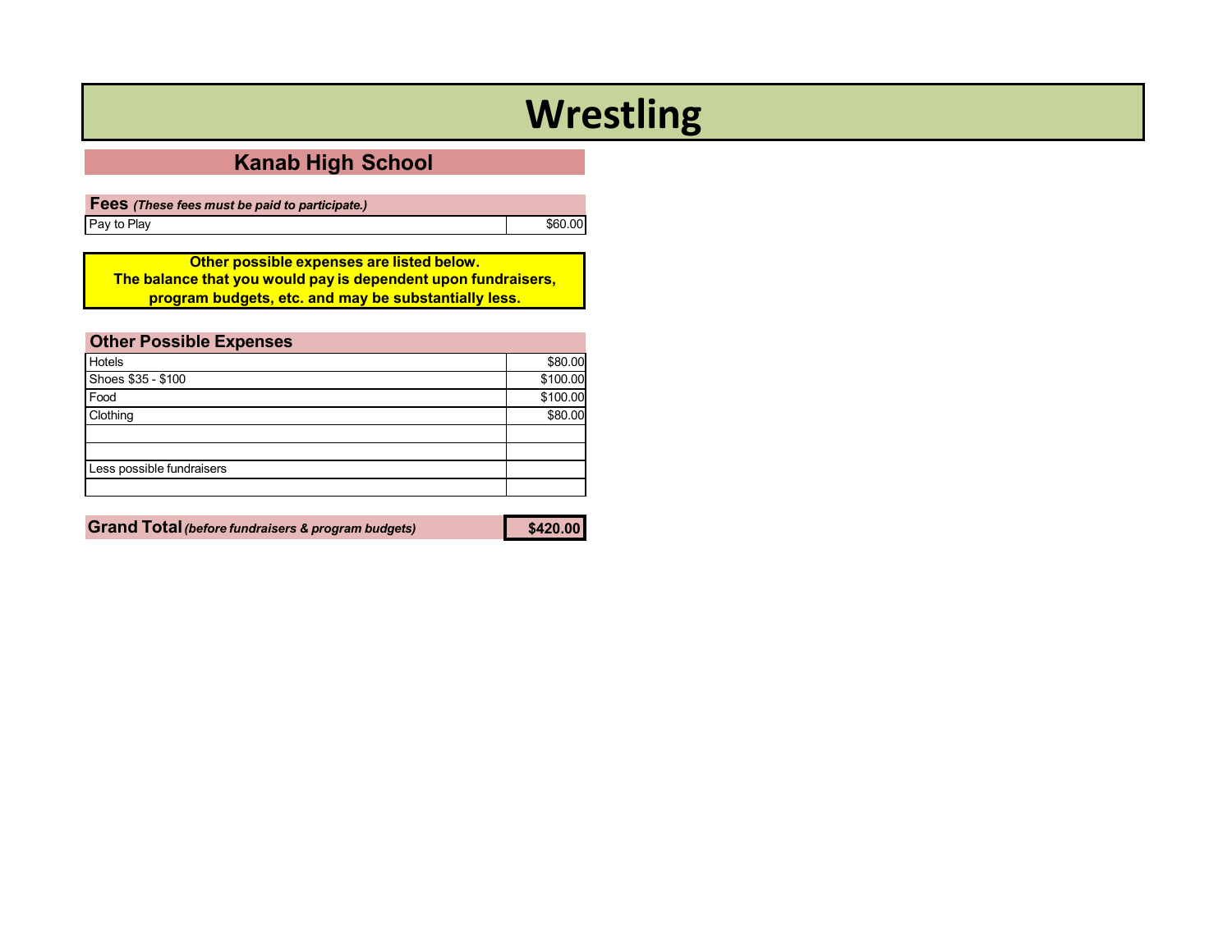# **Wrestling**

## **Kanab High School**

**Fees** *(These fees must be paid to participate.)* Pay to Play **Example 2018** Second League 2018 12:00 Second 2019 12:00 Second 2019 12:00 Second 2019 12:00 Second 2019 12:00 Second 2019 12:00 Second 2019 12:00 Second 2019 12:00 Second 2019 12:00 Second 2019 12:00 Second 2

**Other possible expenses are listed below. The balance that you would pay is dependent upon fundraisers, program budgets, etc. and may be substantially less.**

<span id="page-14-0"></span>

| <b>Other Possible Expenses</b> |          |
|--------------------------------|----------|
| Hotels                         | \$80.00  |
| Shoes \$35 - \$100             | \$100.00 |
| Food                           | \$100.00 |
| Clothing                       | \$80.00  |
|                                |          |
|                                |          |
| Less possible fundraisers      |          |
|                                |          |

**Grand Total***(before fundraisers & program budgets)* **\$420.00**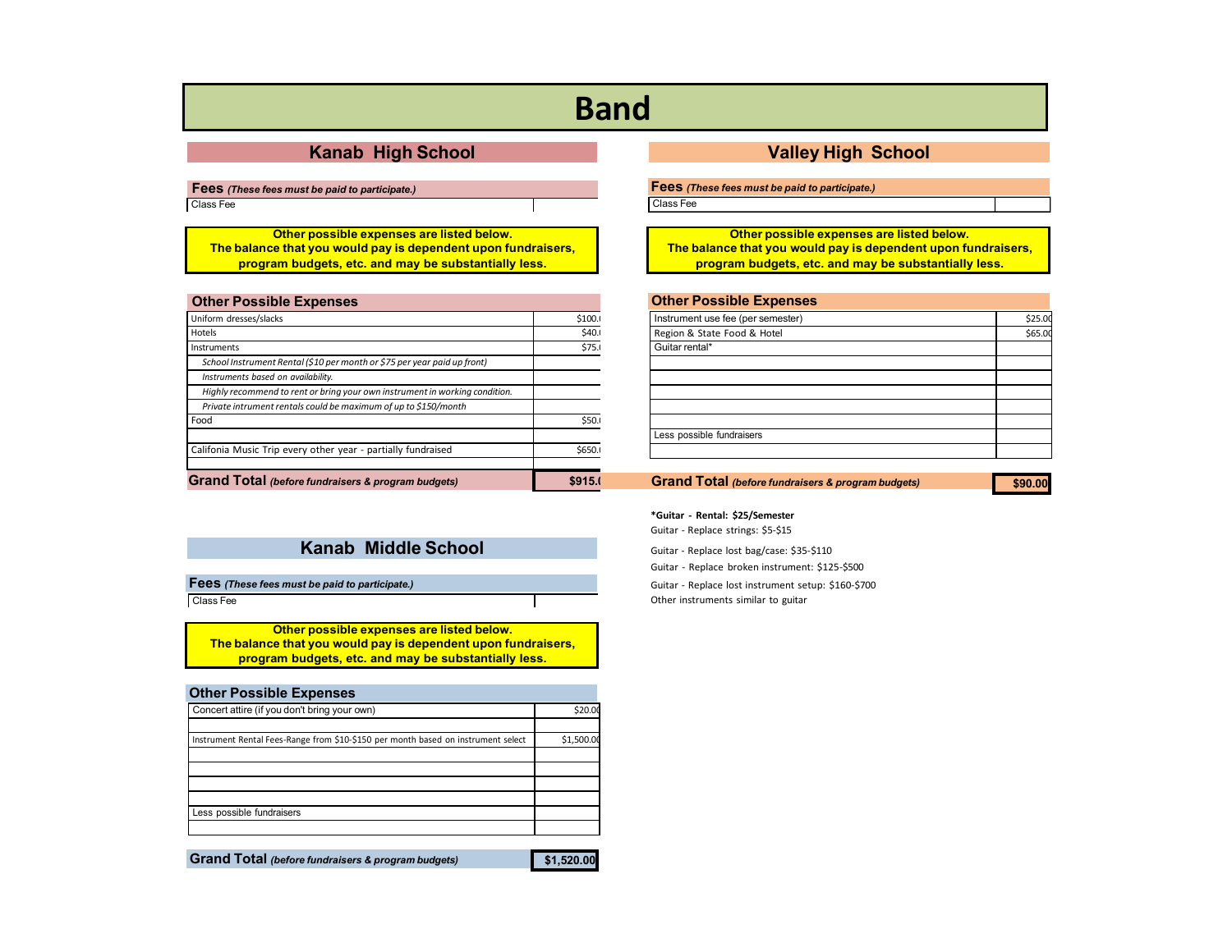## **Band**

**Fees** *(These fees must be paid to participate.)*

Class Fee

**Other possible expenses are listed below. The balance that you would pay is dependent upon fundraisers, program budgets, etc. and may be substantially less.**

### **Other Possible Expenses**

<span id="page-15-0"></span>

| Uniform dresses/slacks                                                      | \$100. |
|-----------------------------------------------------------------------------|--------|
| Hotels                                                                      | \$40.  |
| Instruments                                                                 | \$75.  |
| School Instrument Rental (\$10 per month or \$75 per year paid up front)    |        |
| Instruments based on availability.                                          |        |
| Highly recommend to rent or bring your own instrument in working condition. |        |
| Private intrument rentals could be maximum of up to \$150/month             |        |
| Food                                                                        | \$50.0 |
| Califonia Music Trip every other year - partially fundraised                | \$650. |
| <b>Grand Total</b> (before fundraisers & program budgets)                   |        |

Class Fee

**Other possible expenses are listed below. The balance that you would pay is dependent upon fundraisers, program budgets, etc. and may be substantially less.**

**Other Possible Expenses**

| Concert attire (if you don't bring your own)                                      | \$20.00    |
|-----------------------------------------------------------------------------------|------------|
|                                                                                   |            |
| Instrument Rental Fees-Range from \$10-\$150 per month based on instrument select | \$1,500.00 |
|                                                                                   |            |
|                                                                                   |            |
|                                                                                   |            |
|                                                                                   |            |
| Less possible fundraisers                                                         |            |
|                                                                                   |            |

**Grand Total** *(before fundraisers & program budgets)*

### **\$1,520.00**

### **Kanab High School Valley High School**

**Fees** *(These fees must be paid to participate.)*

Class Fee

**Other possible expenses are listed below. The balance that you would pay is dependent upon fundraisers, program budgets, etc. and may be substantially less.**

| <b>Other Possible Expenses</b>    |         |
|-----------------------------------|---------|
| Instrument use fee (per semester) | \$25.00 |
| Region & State Food & Hotel       | \$65.00 |
| Guitar rental*                    |         |
|                                   |         |
|                                   |         |
|                                   |         |
|                                   |         |
|                                   |         |
| Less possible fundraisers         |         |
|                                   |         |

**Grand Total** *(before fundraisers & program budgets)*

**\$90.00**

**\*Guitar - Rental: \$25/Semester** Guitar - Replace strings: \$5-\$15

**Kanab Middle School** Guitar - Replace lost bag/case: \$35-\$110 Guitar - Replace broken instrument: \$125-\$500

**Fees** (These fees must be paid to participate.) Guitar - Replace lost instrument setup: \$160-\$700 Other instruments similar to guitar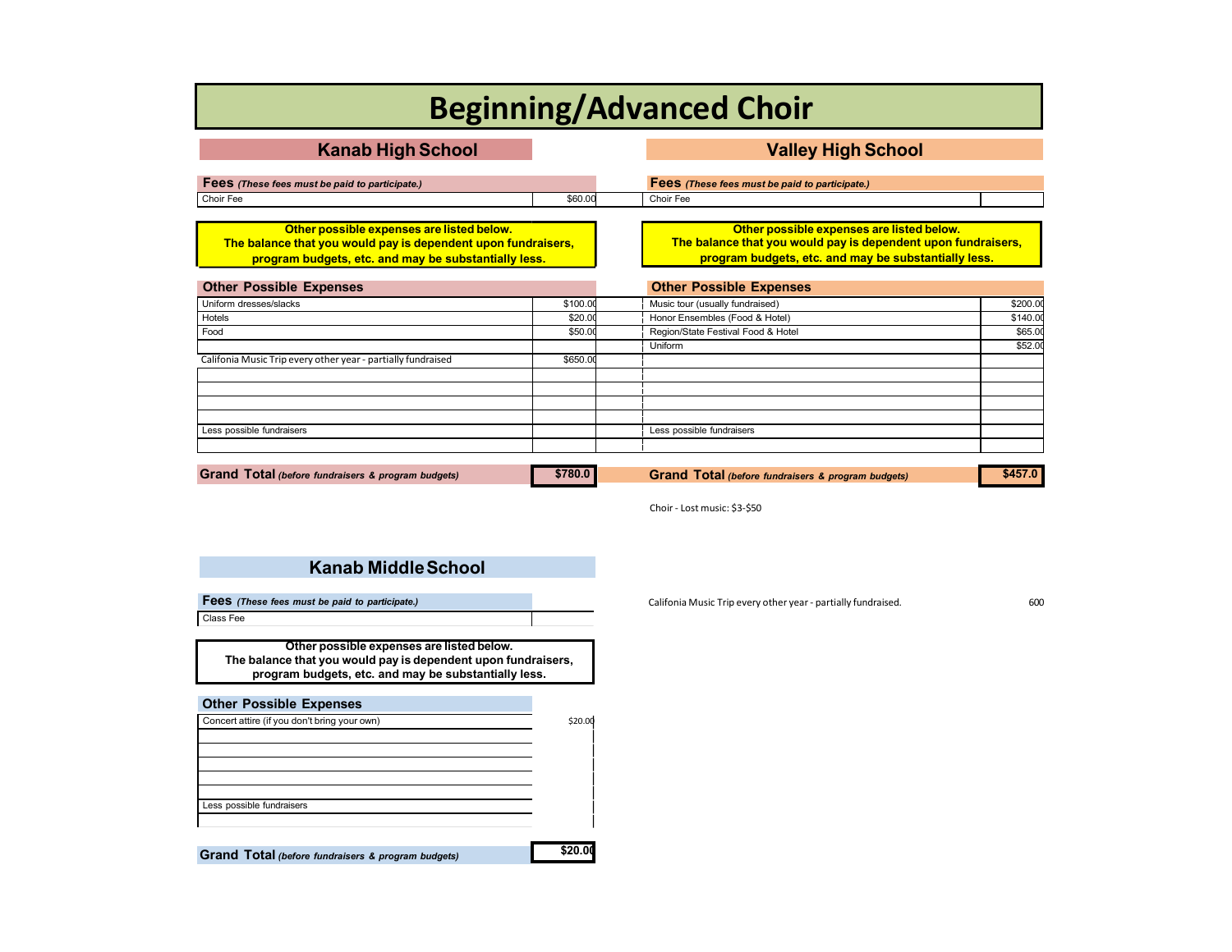# **Beginning/Advanced Choir**

| <b>Kanab High School</b>                                                                                                                                           |          | <b>Valley High School</b>                                                                                                                                          |          |
|--------------------------------------------------------------------------------------------------------------------------------------------------------------------|----------|--------------------------------------------------------------------------------------------------------------------------------------------------------------------|----------|
| Fees (These fees must be paid to participate.)                                                                                                                     |          | Fees (These fees must be paid to participate.)                                                                                                                     |          |
| Choir Fee                                                                                                                                                          | \$60.00  | Choir Fee                                                                                                                                                          |          |
| Other possible expenses are listed below.<br>The balance that you would pay is dependent upon fundraisers,<br>program budgets, etc. and may be substantially less. |          | Other possible expenses are listed below.<br>The balance that you would pay is dependent upon fundraisers,<br>program budgets, etc. and may be substantially less. |          |
| <b>Other Possible Expenses</b>                                                                                                                                     |          | <b>Other Possible Expenses</b>                                                                                                                                     |          |
| Uniform dresses/slacks                                                                                                                                             | \$100.00 | Music tour (usually fundraised)                                                                                                                                    | \$200.00 |
| Hotels                                                                                                                                                             | \$20.00  | Honor Ensembles (Food & Hotel)                                                                                                                                     | \$140.00 |
| Food                                                                                                                                                               | \$50.00  | Region/State Festival Food & Hotel                                                                                                                                 | \$65.00  |
|                                                                                                                                                                    |          | Uniform                                                                                                                                                            | \$52.00  |
| Califonia Music Trip every other year - partially fundraised                                                                                                       | \$650.00 |                                                                                                                                                                    |          |
|                                                                                                                                                                    |          |                                                                                                                                                                    |          |
|                                                                                                                                                                    |          |                                                                                                                                                                    |          |
| Less possible fundraisers                                                                                                                                          |          | Less possible fundraisers                                                                                                                                          |          |
| Grand Total (before fundraisers & program budgets)                                                                                                                 | \$780.0  | Grand Total (before fundraisers & program budgets)                                                                                                                 | \$457.0  |

Choir - Lost music: \$3-\$50

### <span id="page-16-0"></span>**Kanab MiddleSchool**

**Fees** (These fees *must* be paid to participate.) Califonia Music Trip every other year - partially fundraised. 600 Class Fee

**Other possible expenses are listed below. The balance that you would pay is dependent upon fundraisers, program budgets, etc. and may be substantially less.**

| <b>Other Possible Expenses</b>                     |         |
|----------------------------------------------------|---------|
| Concert attire (if you don't bring your own)       | \$20.00 |
|                                                    |         |
|                                                    |         |
|                                                    |         |
|                                                    |         |
| Less possible fundraisers                          |         |
|                                                    |         |
|                                                    |         |
| Grand Total (before fundraisers & program budgets) |         |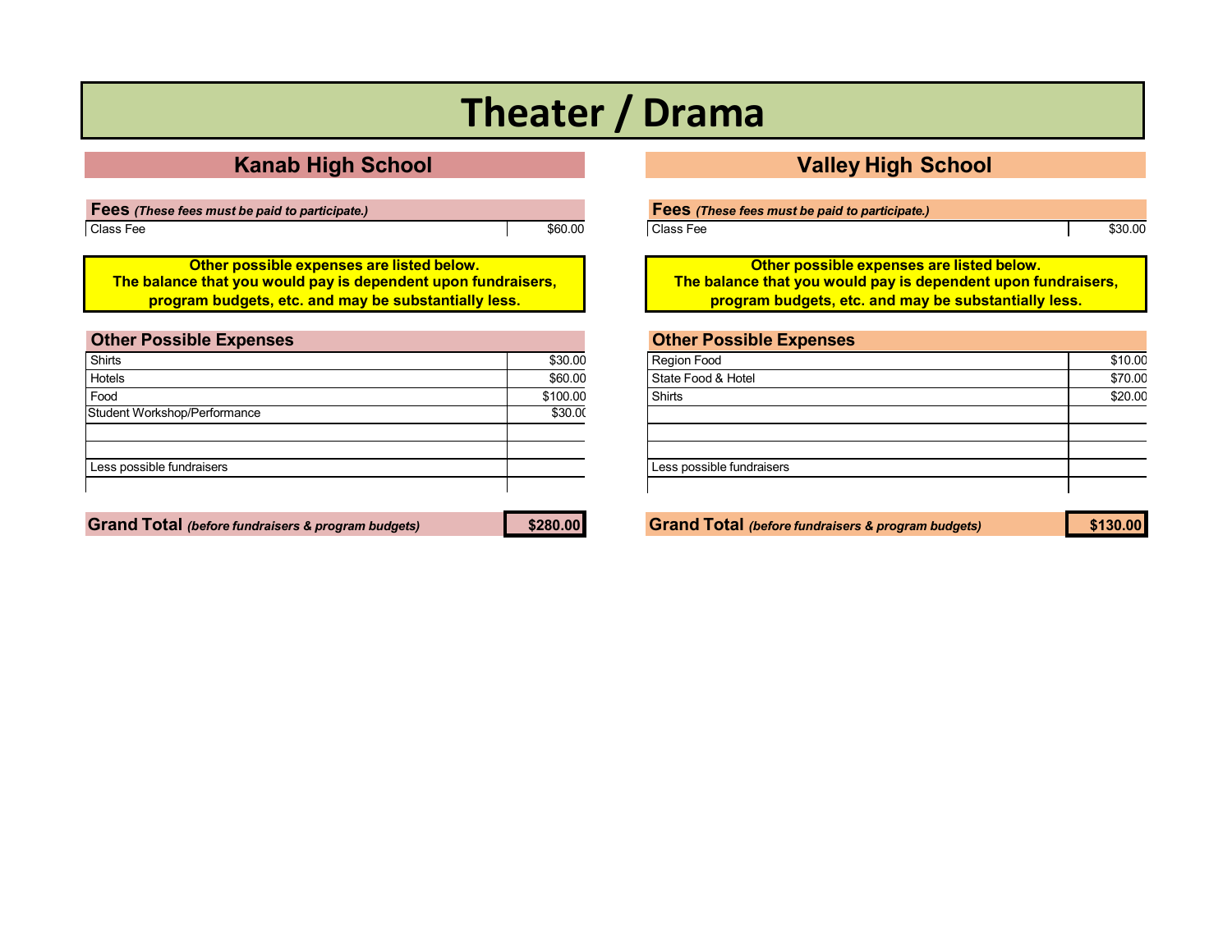# **Theater / Drama**

## **Kanab High School Valley High School**

**Fees** *(These fees must be paid to participate.)*  $\begin{array}{|c|c|c|c|c|}\hline \text{Class Free} & \text{${\bf 860.0015} \text{ }} \end{array}$ 

**Other possible expenses are listed below. The balance that you would pay is dependent upon fundraisers, program budgets, etc. and may be substantially less.**

| <b>Other Possible Expenses</b> |          |
|--------------------------------|----------|
| Shirts                         | \$30.00  |
| Hotels                         | \$60.00  |
| Food                           | \$100.00 |
| Student Workshop/Performance   | \$30.00  |
|                                |          |
|                                |          |
| Less possible fundraisers      |          |
|                                |          |

Grand Total (before fundraisers & program budgets) \$280.00 Service Constructed Construction of the Stand Total (before fundraisers & program budgets) \$130.00

Class Fee \$30.00

**Other possible expenses are listed below. The balance that you would pay is dependent upon fundraisers, program budgets, etc. and may be substantially less.**

| <b>Other Possible Expenses</b> |         |
|--------------------------------|---------|
| <b>Region Food</b>             | \$10.00 |
| State Food & Hotel             | \$70.00 |
| Shirts                         | \$20.00 |
|                                |         |
|                                |         |
|                                |         |
| Less possible fundraisers      |         |
|                                |         |
|                                |         |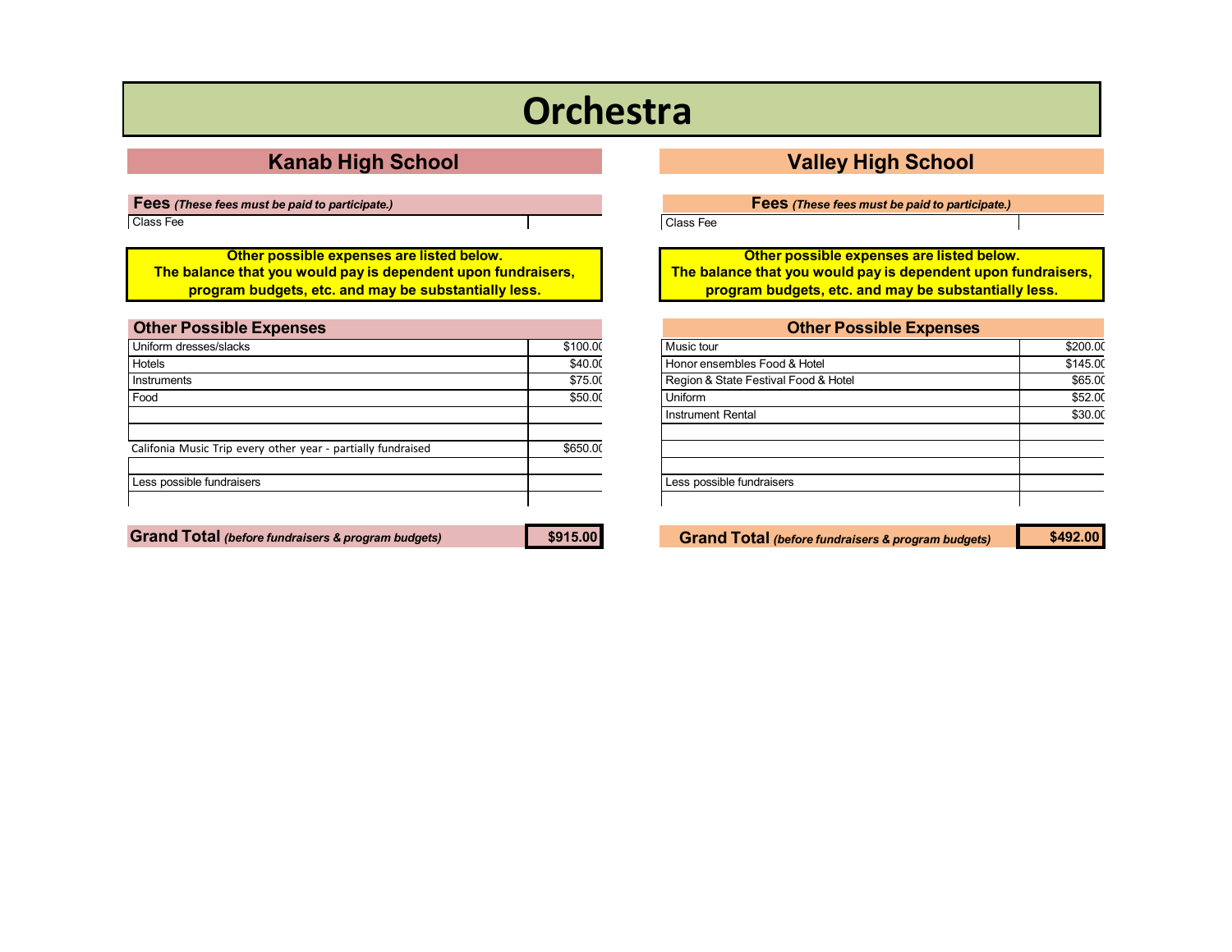# **Orchestra**

**Fees** *(These fees must be paid to participate.)*

Class Fee

**Other possible expenses are listed below. The balance that you would pay is dependent upon fundraisers, program budgets, etc. and may be substantially less.**

<span id="page-18-0"></span>

| <b>Other Possible Expenses</b>                               |          |
|--------------------------------------------------------------|----------|
| Uniform dresses/slacks                                       | \$100.00 |
| Hotels                                                       | \$40.00  |
| Instruments                                                  | \$75.00  |
| Food                                                         | \$50.00  |
|                                                              |          |
|                                                              |          |
| Califonia Music Trip every other year - partially fundraised | \$650.00 |
|                                                              |          |
| Less possible fundraisers                                    |          |
|                                                              |          |
|                                                              |          |

### **Kanab High School Valley High School**

**Fees** *(These fees must be paid to participate.)*

Class Fee

**Other possible expenses are listed below. The balance that you would pay is dependent upon fundraisers, program budgets, etc. and may be substantially less.**

| <b>Other Possible Expenses</b>       |          |
|--------------------------------------|----------|
| Music tour                           | \$200.00 |
| Honor ensembles Food & Hotel         | \$145.00 |
| Region & State Festival Food & Hotel | \$65.00  |
| Uniform                              | \$52.00  |
| <b>Instrument Rental</b>             | \$30.00  |
|                                      |          |
|                                      |          |
|                                      |          |
| Less possible fundraisers            |          |
|                                      |          |

**Grand Total** *(before fundraisers & program budgets)* **\$915.00 Grand Total** *(before fundraisers & program budgets)* **\$492.00**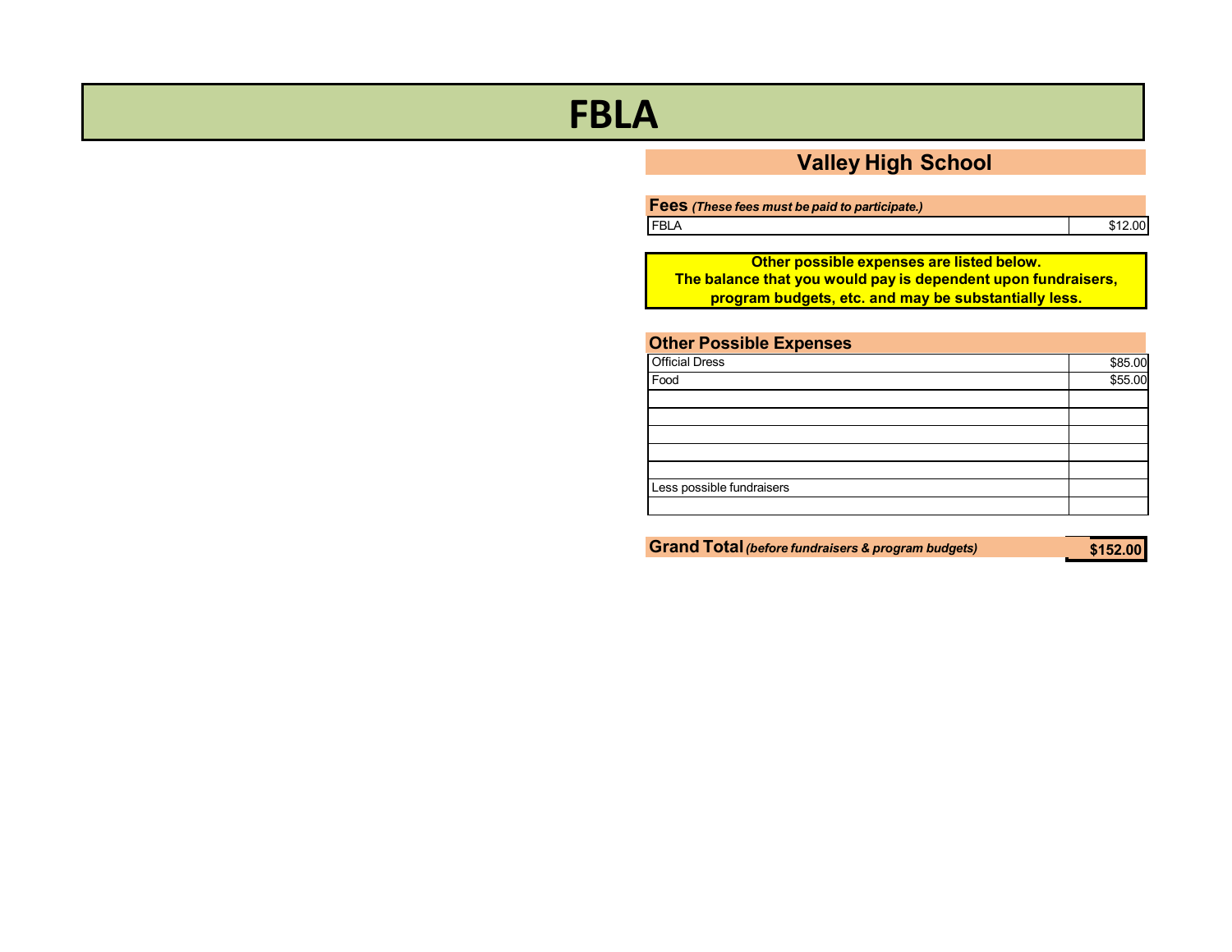# <span id="page-19-0"></span>**FBLA**

## **Valley High School**

| Fees (These fees must be paid to participate.) |         |
|------------------------------------------------|---------|
| <b>FBLA</b>                                    | \$12.00 |

**Other possible expenses are listed below. The balance that you would pay is dependent upon fundraisers, program budgets, etc. and may be substantially less.**

| Other Possible Expenses   |         |
|---------------------------|---------|
| <b>Official Dress</b>     | \$85.00 |
| Food                      | \$55.00 |
|                           |         |
|                           |         |
|                           |         |
|                           |         |
|                           |         |
| Less possible fundraisers |         |
|                           |         |
|                           |         |

**Grand Total***(before fundraisers & program budgets)*

**\$152.00**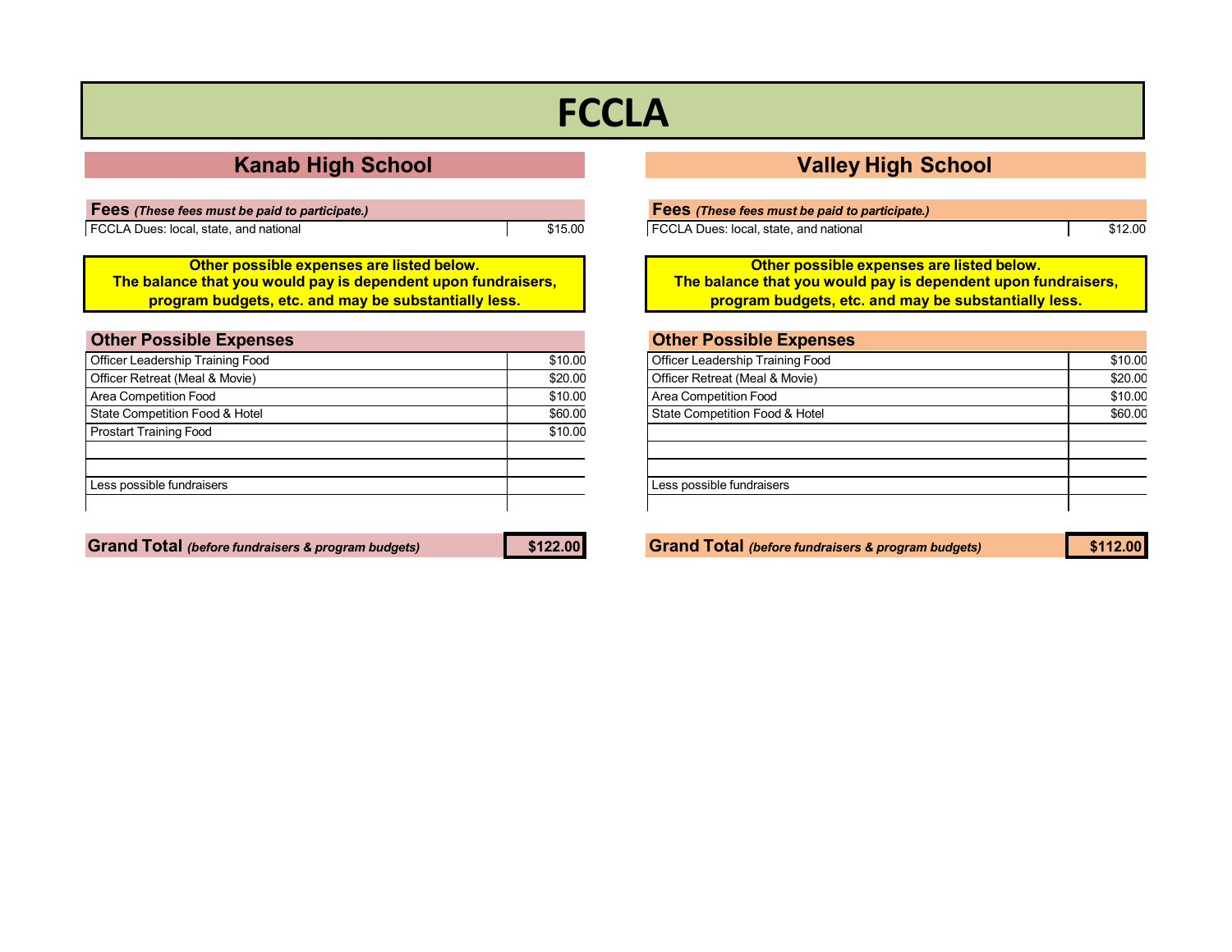# **FCCLA**

## **Kanab High School Valley High School**

| <b>Fees</b> (These fees must be paid to participate.) |         |
|-------------------------------------------------------|---------|
| FCCLA Dues: local, state, and national                | \$15.00 |

**Other possible expenses are listed below. The balance that you would pay is dependent upon fundraisers, program budgets, etc. and may be substantially less.**

<span id="page-20-0"></span>

| <b>Other Possible Expenses</b>   |         |
|----------------------------------|---------|
| Officer Leadership Training Food | \$10.00 |
| Officer Retreat (Meal & Movie)   | \$20.00 |
| Area Competition Food            | \$10.00 |
| State Competition Food & Hotel   | \$60.00 |
| <b>Prostart Training Food</b>    | \$10.00 |
|                                  |         |
| Less possible fundraisers        |         |
|                                  |         |

| Fees (These fees must be paid to participate.) |         |
|------------------------------------------------|---------|
| FCCLA Dues: local, state, and national         | \$12.00 |

**Other possible expenses are listed below. The balance that you would pay is dependent upon fundraisers, program budgets, etc. and may be substantially less.**

### **Other Possible Expenses** Officer Leadership Training Food \$10.00<br>
Officer Petreat (Meal & Movie) \$20.00 Officer Retreat (Meal & Movie)

| $O(10C)$ is the trace of $O(10C)$ | veo.oo  |
|-----------------------------------|---------|
| Area Competition Food             | \$10.00 |
| State Competition Food & Hotel    | \$60.00 |
|                                   |         |
|                                   |         |
|                                   |         |
| Less possible fundraisers         |         |
|                                   |         |

Grand Total (before fundraisers & program budgets) \$122.00 Stand Total (before fundraisers & program budgets) \$112.00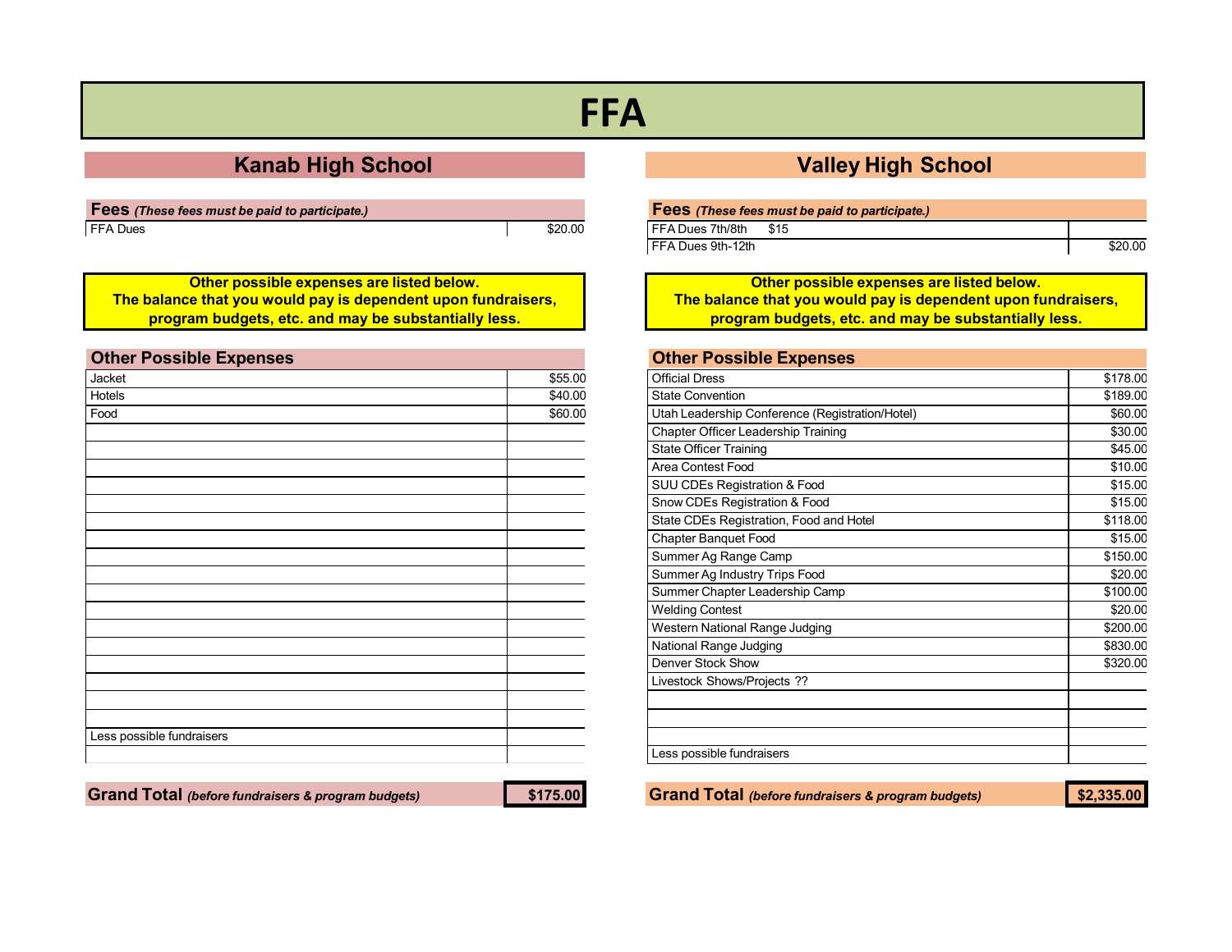# **FFA**

## **Kanab High School Valley High School**

| <b>Fees</b> (These fees must be paid to participate.) |         |
|-------------------------------------------------------|---------|
| <b>FFA Dues</b>                                       | \$20.00 |

**Other possible expenses are listed below. The balance that you would pay is dependent upon fundraisers, program budgets, etc. and may be substantially less.**

<span id="page-21-0"></span>

| <b>Other Possible Expenses</b> |         |
|--------------------------------|---------|
| Jacket                         | \$55.00 |
| Hotels                         | \$40.00 |
| Food                           | \$60.00 |
|                                |         |
|                                |         |
|                                |         |
|                                |         |
|                                |         |
|                                |         |
|                                |         |
|                                |         |
|                                |         |
|                                |         |
|                                |         |
|                                |         |
|                                |         |
|                                |         |
|                                |         |
|                                |         |
|                                |         |
| Less possible fundraisers      |         |
|                                |         |

### Grand Total (before fundraisers & program budgets) \$175.00 Grand Total (before fundraisers & program budgets) \$2,335.00

| Fees (These fees must be paid to participate.) |      |         |
|------------------------------------------------|------|---------|
| FFA Dues 7th/8th                               | \$15 |         |
| FFA Dues 9th-12th                              |      | \$20.00 |

**Other possible expenses are listed below. The balance that you would pay is dependent upon fundraisers, program budgets, etc. and may be substantially less.**

| Official Dress                                  | \$178.00 |
|-------------------------------------------------|----------|
| <b>State Convention</b>                         | \$189.00 |
| Utah Leadership Conference (Registration/Hotel) | \$60.00  |
| Chapter Officer Leadership Training             | \$30.00  |
| <b>State Officer Training</b>                   | \$45.00  |
| Area Contest Food                               | \$10.00  |
| <b>SUU CDEs Registration &amp; Food</b>         | \$15.00  |
| Snow CDEs Registration & Food                   | \$15.00  |
| State CDEs Registration, Food and Hotel         | \$118.00 |
| <b>Chapter Banquet Food</b>                     | \$15.00  |
| Summer Ag Range Camp                            | \$150.00 |
| Summer Ag Industry Trips Food                   | \$20.00  |
| Summer Chapter Leadership Camp                  | \$100.00 |
| <b>Welding Contest</b>                          | \$20.00  |
| Western National Range Judging                  | \$200.00 |
| National Range Judging                          | \$830.00 |
| Denver Stock Show                               | \$320.00 |
| Livestock Shows/Projects ??                     |          |
|                                                 |          |
|                                                 |          |
|                                                 |          |
| Less possible fundraisers                       |          |
|                                                 |          |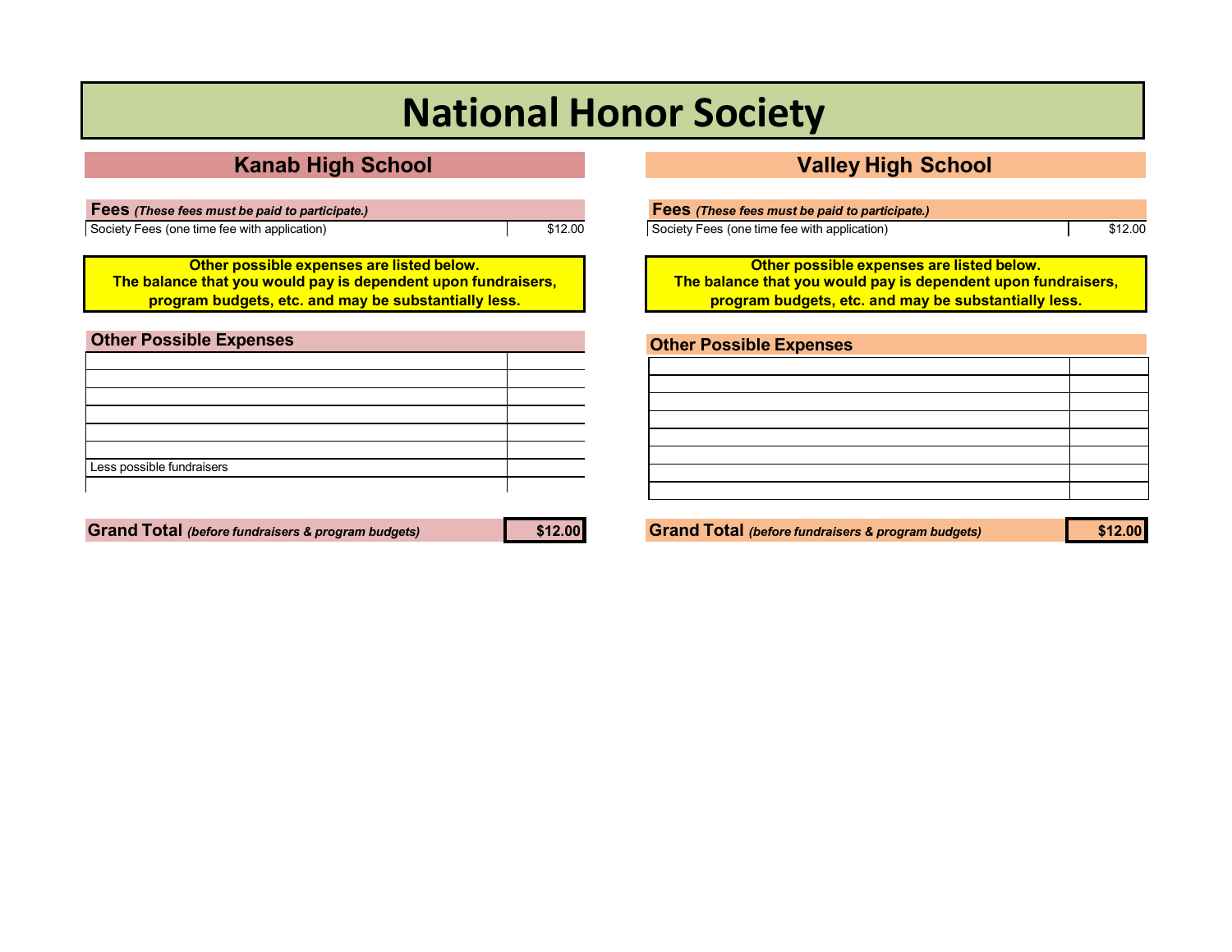# **National Honor Society**

## **Kanab High School Valley High School**

**Fees** *(These fees must be paid to participate.)* Society Fees (one time fee with application)  $\sqrt{312.00}$ 

**Other possible expenses are listed below. The balance that you would pay is dependent upon fundraisers, program budgets, etc. and may be substantially less.**

| <b>Other Possible Expenses</b> |  |
|--------------------------------|--|
|                                |  |
|                                |  |
|                                |  |
|                                |  |
|                                |  |
|                                |  |
| Less possible fundraisers      |  |
|                                |  |

Grand Total (before fundraisers & program budgets) \$12.00 Stand Total (before fundraisers & program budgets) \$12.00

| <b>Fees</b> (These fees must be paid to participate.) |         |
|-------------------------------------------------------|---------|
| Society Fees (one time fee with application)          | \$12.00 |

**Other possible expenses are listed below. The balance that you would pay is dependent upon fundraisers, program budgets, etc. and may be substantially less.**

| <b>Other Possible Expenses</b> |  |
|--------------------------------|--|
|                                |  |
|                                |  |
|                                |  |
|                                |  |
|                                |  |
|                                |  |
|                                |  |
|                                |  |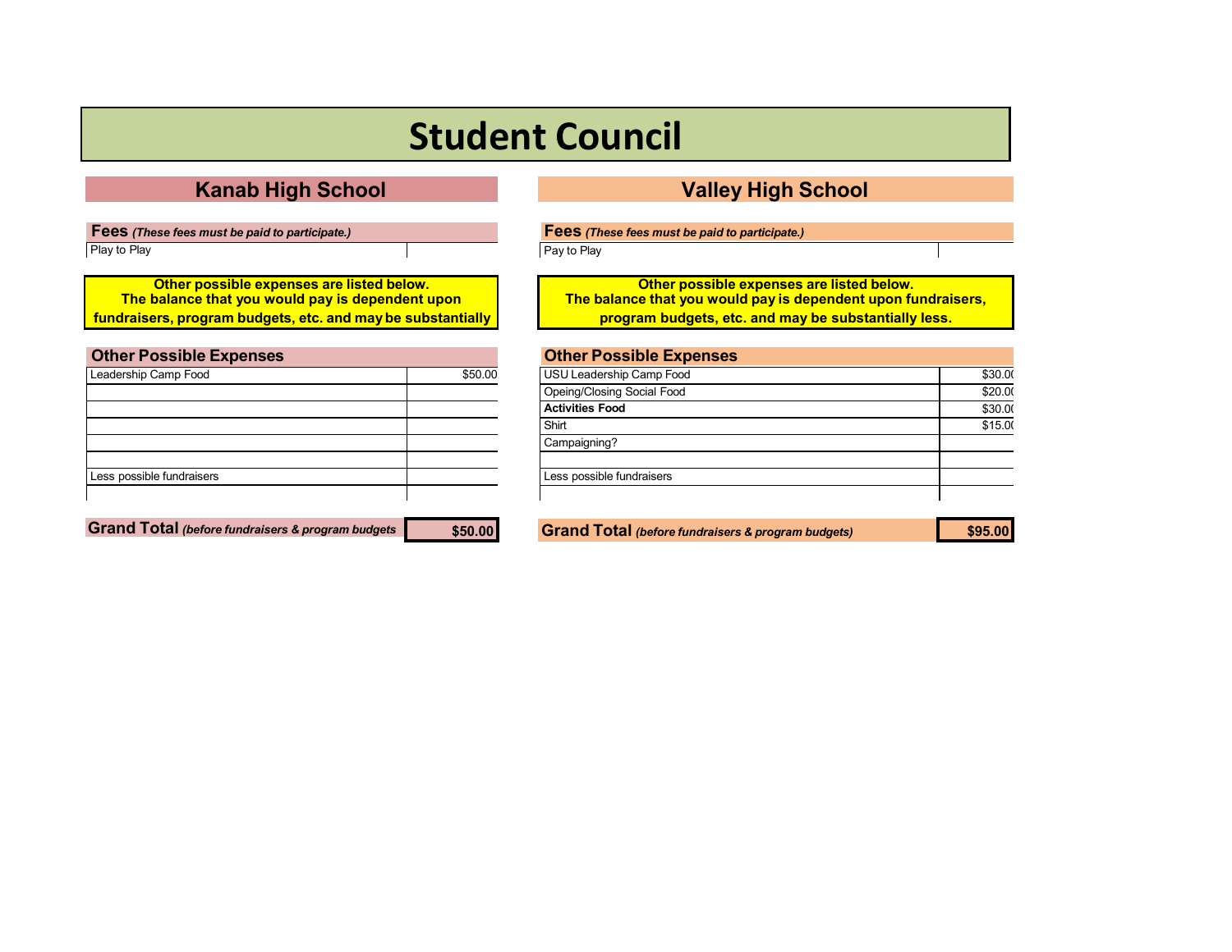# **Student Council**

**Fees** *(These fees must be paid to participate.)* Play to Play

**Other possible expenses are listed below. The balance that you would pay is dependent upon fundraisers, program budgets, etc. and maybe substantially**

<span id="page-23-0"></span>

| <b>Other Possible Expenses</b> |         |
|--------------------------------|---------|
| Leadership Camp Food           | \$50.00 |
|                                |         |
|                                |         |
|                                |         |
|                                |         |
|                                |         |
| Less possible fundraisers      |         |
|                                |         |

**Grand Total** *(before fundraisers & program budgets* **\$50.00 Grand Total** *(before fundraisers & program budgets)* **\$95.00**

## **Kanab High School Valley High School**

**Fees** *(These fees must be paid to participate.)*

Pay to Play

**Other possible expenses are listed below. The balance that you would pay is dependent upon fundraisers, program budgets, etc. and may be substantially less.**

| USU Leadership Camp Food   | \$30.00 |
|----------------------------|---------|
| Opeing/Closing Social Food | \$20.00 |
| <b>Activities Food</b>     | \$30.00 |
| Shirt                      | \$15.00 |
| Campaigning?               |         |
|                            |         |
| Less possible fundraisers  |         |
|                            |         |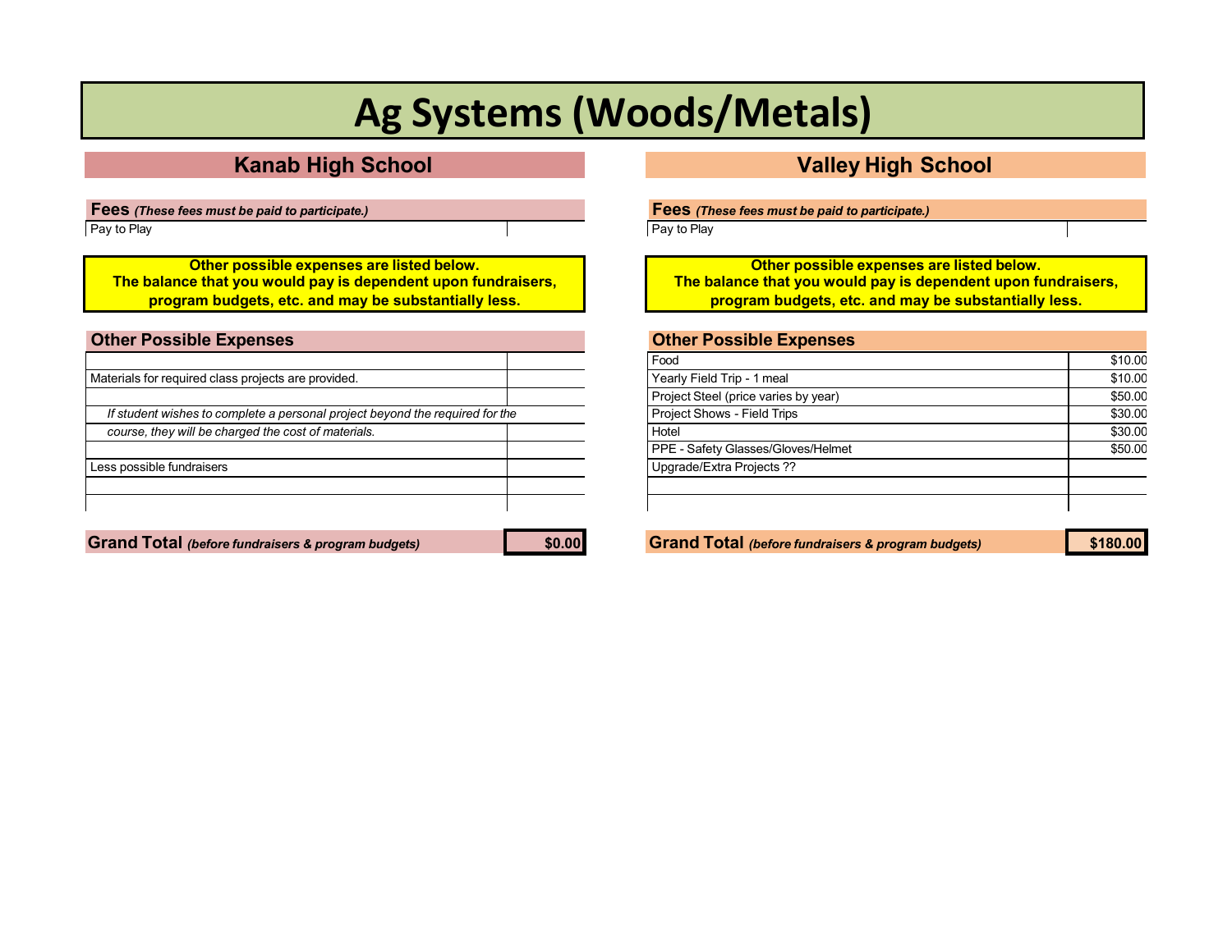# **Ag Systems (Woods/Metals)**

## **Kanab High School Valley High School**

**Fees** *(These fees must be paid to participate.)* Pay to Play

**Other possible expenses are listed below. The balance that you would pay is dependent upon fundraisers, program budgets, etc. and may be substantially less.**

<span id="page-24-0"></span>

| <b>Other Possible Expenses</b>                                               |  |
|------------------------------------------------------------------------------|--|
|                                                                              |  |
| Materials for required class projects are provided.                          |  |
|                                                                              |  |
| If student wishes to complete a personal project beyond the required for the |  |
| course, they will be charged the cost of materials.                          |  |
|                                                                              |  |
| Less possible fundraisers                                                    |  |
|                                                                              |  |
|                                                                              |  |
|                                                                              |  |

**Grand Total** *(before fundraisers & program budgets)* **\$0.00 Grand Total** *(before fundraisers & program budgets)* **\$180.00**

**Fees** *(These fees must be paid to participate.)*

Pay to Play

**Other possible expenses are listed below. The balance that you would pay is dependent upon fundraisers, program budgets, etc. and may be substantially less.**

| Food                                 | \$10.00 |
|--------------------------------------|---------|
| Yearly Field Trip - 1 meal           | \$10.00 |
| Project Steel (price varies by year) | \$50.00 |
| Project Shows - Field Trips          | \$30.00 |
| Hotel                                | \$30.00 |
| PPE - Safety Glasses/Gloves/Helmet   | \$50.00 |
| Upgrade/Extra Projects ??            |         |
|                                      |         |
|                                      |         |
|                                      |         |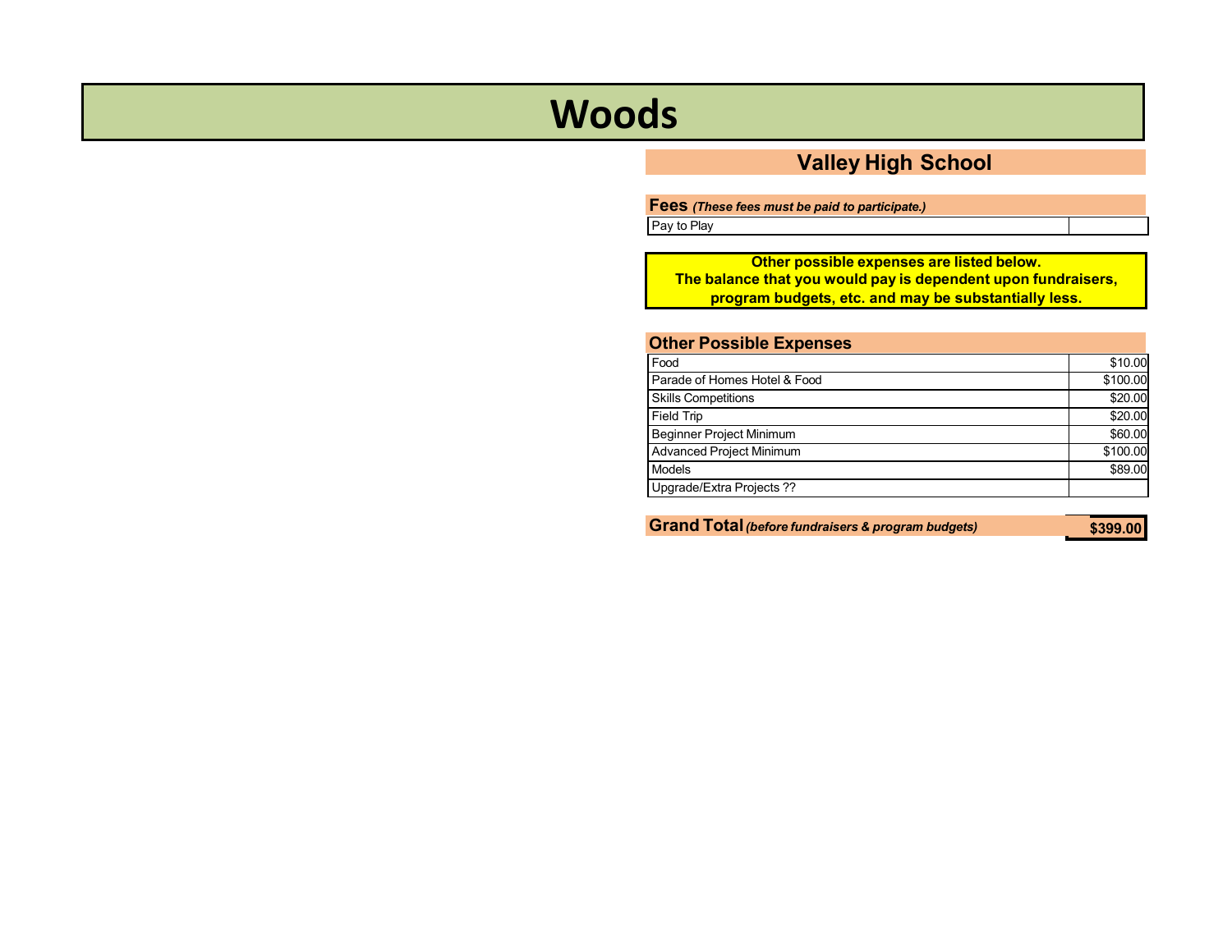# <span id="page-25-0"></span>**Woods**

## **Valley High School**

**Fees** *(These fees must be paid to participate.)*

Pay to Play

**Other possible expenses are listed below. The balance that you would pay is dependent upon fundraisers, program budgets, etc. and may be substantially less.**

| <b>Other Possible Expenses</b>  |          |
|---------------------------------|----------|
| Food                            | \$10.00  |
| Parade of Homes Hotel & Food    | \$100.00 |
| <b>Skills Competitions</b>      | \$20.00  |
| <b>Field Trip</b>               | \$20.00  |
| <b>Beginner Project Minimum</b> | \$60.00  |
| Advanced Project Minimum        | \$100.00 |
| Models                          | \$89.00  |
| Upgrade/Extra Projects ??       |          |
|                                 |          |

**Grand Total***(before fundraisers & program budgets)*

**\$399.00**